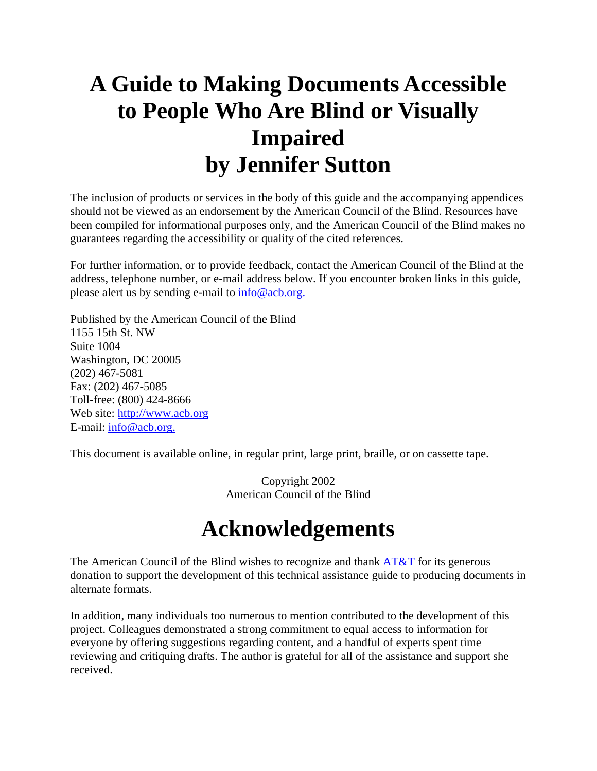## **A Guide to Making Documents Accessible to People Who Are Blind or Visually Impaired by Jennifer Sutton**

The inclusion of products or services in the body of this guide and the accompanying appendices should not be viewed as an endorsement by the American Council of the Blind. Resources have been compiled for informational purposes only, and the American Council of the Blind makes no guarantees regarding the accessibility or quality of the cited references.

For further information, or to provide feedback, contact the American Council of the Blind at the address, telephone number, or e-mail address below. If you encounter broken links in this guide, please alert us by sending e-mail to info@acb.org.

Published by the American Council of the Blind 1155 15th St. NW Suite 1004 Washington, DC 20005 (202) 467-5081 Fax: (202) 467-5085 Toll-free: (800) 424-8666 Web site: http://www.acb.org E-mail:  $info@acb.org.$ 

This document is available online, in regular print, large print, braille, or on cassette tape.

Copyright 2002 American Council of the Blind

## **Acknowledgements**

The American Council of the Blind wishes to recognize and thank  $\overline{AT&T}$  for its generous donation to support the development of this technical assistance guide to producing documents in alternate formats.

In addition, many individuals too numerous to mention contributed to the development of this project. Colleagues demonstrated a strong commitment to equal access to information for everyone by offering suggestions regarding content, and a handful of experts spent time reviewing and critiquing drafts. The author is grateful for all of the assistance and support she received.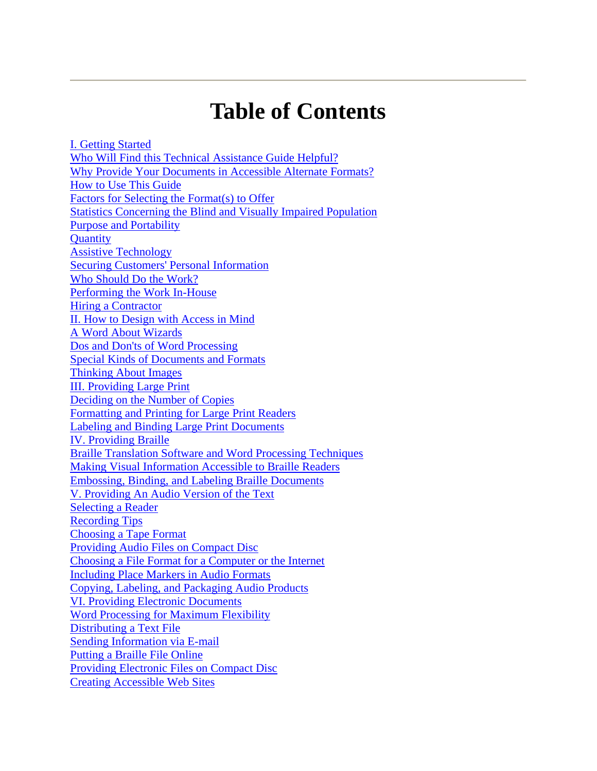## **Table of Contents**

I. Getting Started Who Will Find this Technical Assistance Guide Helpful? Why Provide Your Documents in Accessible Alternate Formats? How to Use This Guide Factors for Selecting the Format(s) to Offer Statistics Concerning the Blind and Visually Impaired Population Purpose and Portability **Quantity** Assistive Technology Securing Customers' Personal Information Who Should Do the Work? Performing the Work In-House Hiring a Contractor II. How to Design with Access in Mind A Word About Wizards Dos and Don'ts of Word Processing Special Kinds of Documents and Formats Thinking About Images III. Providing Large Print Deciding on the Number of Copies Formatting and Printing for Large Print Readers Labeling and Binding Large Print Documents IV. Providing Braille Braille Translation Software and Word Processing Techniques Making Visual Information Accessible to Braille Readers Embossing, Binding, and Labeling Braille Documents V. Providing An Audio Version of the Text Selecting a Reader Recording Tips Choosing a Tape Format Providing Audio Files on Compact Disc Choosing a File Format for a Computer or the Internet Including Place Markers in Audio Formats Copying, Labeling, and Packaging Audio Products VI. Providing Electronic Documents Word Processing for Maximum Flexibility Distributing a Text File Sending Information via E-mail Putting a Braille File Online Providing Electronic Files on Compact Disc Creating Accessible Web Sites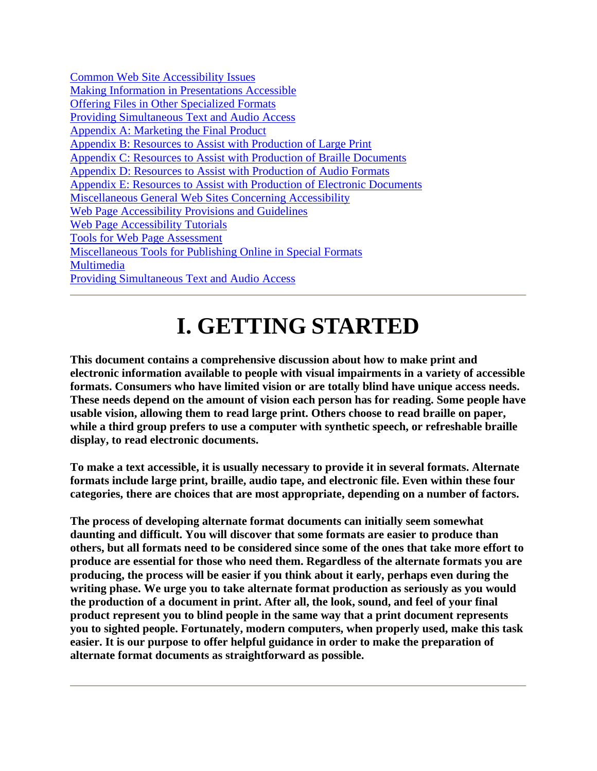# **I. GETTING STARTED**

**This document contains a comprehensive discussion about how to make print and electronic information available to people with visual impairments in a variety of accessible formats. Consumers who have limited vision or are totally blind have unique access needs. These needs depend on the amount of vision each person has for reading. Some people have usable vision, allowing them to read large print. Others choose to read braille on paper, while a third group prefers to use a computer with synthetic speech, or refreshable braille display, to read electronic documents.** 

**To make a text accessible, it is usually necessary to provide it in several formats. Alternate formats include large print, braille, audio tape, and electronic file. Even within these four categories, there are choices that are most appropriate, depending on a number of factors.** 

**The process of developing alternate format documents can initially seem somewhat daunting and difficult. You will discover that some formats are easier to produce than others, but all formats need to be considered since some of the ones that take more effort to produce are essential for those who need them. Regardless of the alternate formats you are producing, the process will be easier if you think about it early, perhaps even during the writing phase. We urge you to take alternate format production as seriously as you would the production of a document in print. After all, the look, sound, and feel of your final product represent you to blind people in the same way that a print document represents you to sighted people. Fortunately, modern computers, when properly used, make this task easier. It is our purpose to offer helpful guidance in order to make the preparation of alternate format documents as straightforward as possible.**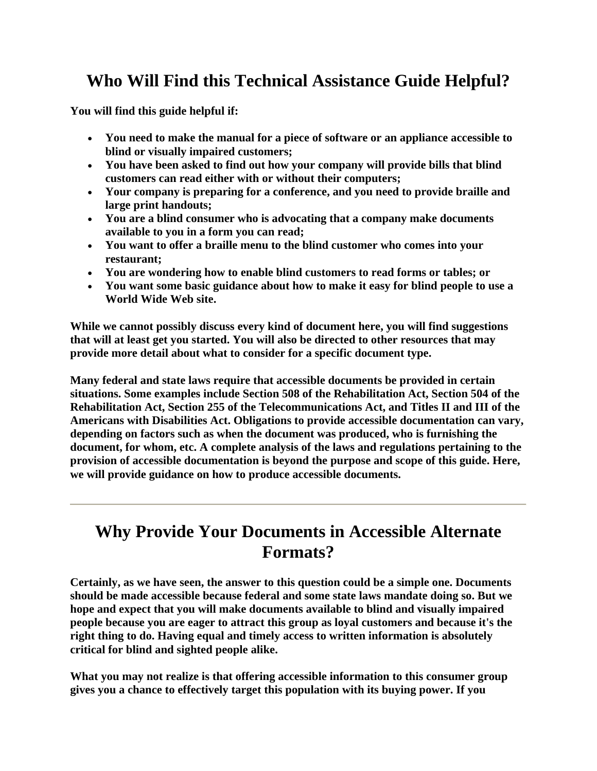## **Who Will Find this Technical Assistance Guide Helpful?**

**You will find this guide helpful if:** 

- **You need to make the manual for a piece of software or an appliance accessible to blind or visually impaired customers;**
- **You have been asked to find out how your company will provide bills that blind customers can read either with or without their computers;**
- **Your company is preparing for a conference, and you need to provide braille and large print handouts;**
- **You are a blind consumer who is advocating that a company make documents available to you in a form you can read;**
- **You want to offer a braille menu to the blind customer who comes into your restaurant;**
- **You are wondering how to enable blind customers to read forms or tables; or**
- **You want some basic guidance about how to make it easy for blind people to use a World Wide Web site.**

**While we cannot possibly discuss every kind of document here, you will find suggestions that will at least get you started. You will also be directed to other resources that may provide more detail about what to consider for a specific document type.** 

**Many federal and state laws require that accessible documents be provided in certain situations. Some examples include Section 508 of the Rehabilitation Act, Section 504 of the Rehabilitation Act, Section 255 of the Telecommunications Act, and Titles II and III of the Americans with Disabilities Act. Obligations to provide accessible documentation can vary, depending on factors such as when the document was produced, who is furnishing the document, for whom, etc. A complete analysis of the laws and regulations pertaining to the provision of accessible documentation is beyond the purpose and scope of this guide. Here, we will provide guidance on how to produce accessible documents.** 

#### **Why Provide Your Documents in Accessible Alternate Formats?**

**Certainly, as we have seen, the answer to this question could be a simple one. Documents should be made accessible because federal and some state laws mandate doing so. But we hope and expect that you will make documents available to blind and visually impaired people because you are eager to attract this group as loyal customers and because it's the right thing to do. Having equal and timely access to written information is absolutely critical for blind and sighted people alike.** 

**What you may not realize is that offering accessible information to this consumer group gives you a chance to effectively target this population with its buying power. If you**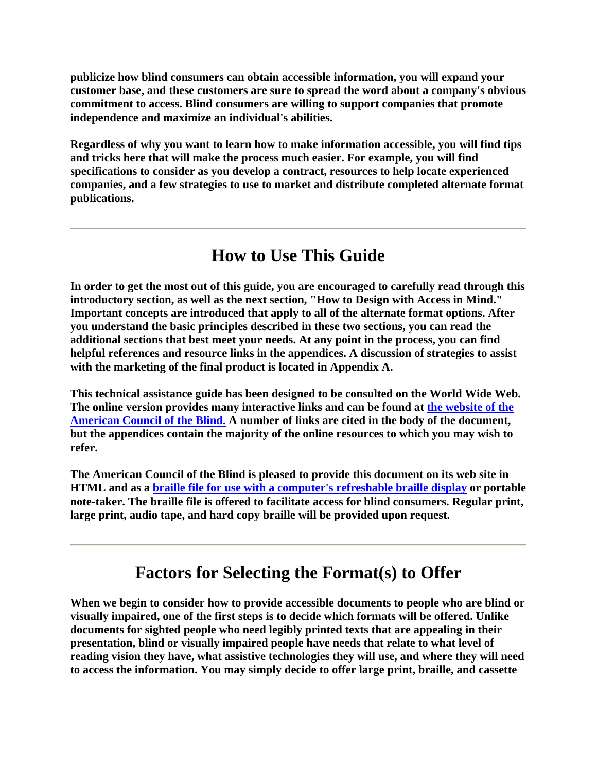**publicize how blind consumers can obtain accessible information, you will expand your customer base, and these customers are sure to spread the word about a company's obvious commitment to access. Blind consumers are willing to support companies that promote independence and maximize an individual's abilities.** 

**Regardless of why you want to learn how to make information accessible, you will find tips and tricks here that will make the process much easier. For example, you will find specifications to consider as you develop a contract, resources to help locate experienced companies, and a few strategies to use to market and distribute completed alternate format publications.** 

### **How to Use This Guide**

**In order to get the most out of this guide, you are encouraged to carefully read through this introductory section, as well as the next section, "How to Design with Access in Mind." Important concepts are introduced that apply to all of the alternate format options. After you understand the basic principles described in these two sections, you can read the additional sections that best meet your needs. At any point in the process, you can find helpful references and resource links in the appendices. A discussion of strategies to assist with the marketing of the final product is located in Appendix A.** 

**This technical assistance guide has been designed to be consulted on the World Wide Web. The online version provides many interactive links and can be found at the website of the American Council of the Blind. A number of links are cited in the body of the document, but the appendices contain the majority of the online resources to which you may wish to refer.** 

**The American Council of the Blind is pleased to provide this document on its web site in HTML and as a braille file for use with a computer's refreshable braille display or portable note-taker. The braille file is offered to facilitate access for blind consumers. Regular print, large print, audio tape, and hard copy braille will be provided upon request.** 

#### **Factors for Selecting the Format(s) to Offer**

**When we begin to consider how to provide accessible documents to people who are blind or visually impaired, one of the first steps is to decide which formats will be offered. Unlike documents for sighted people who need legibly printed texts that are appealing in their presentation, blind or visually impaired people have needs that relate to what level of reading vision they have, what assistive technologies they will use, and where they will need to access the information. You may simply decide to offer large print, braille, and cassette**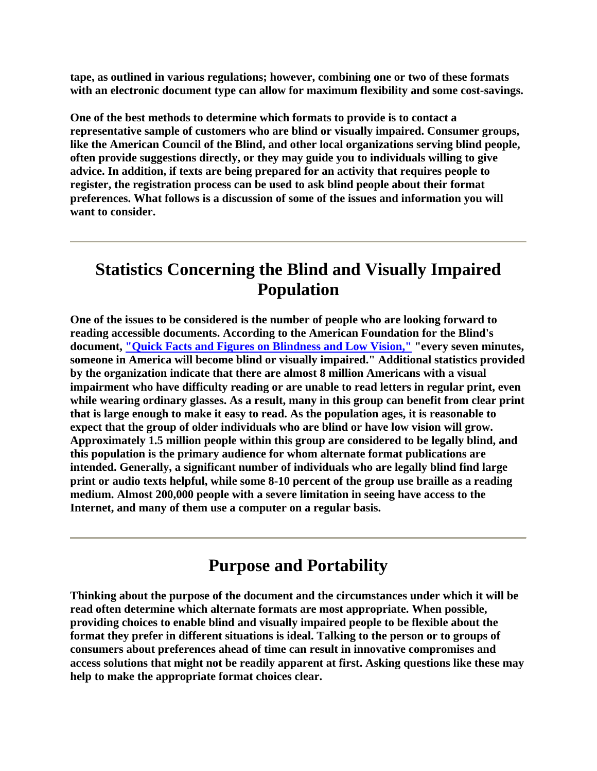**tape, as outlined in various regulations; however, combining one or two of these formats with an electronic document type can allow for maximum flexibility and some cost-savings.** 

**One of the best methods to determine which formats to provide is to contact a representative sample of customers who are blind or visually impaired. Consumer groups, like the American Council of the Blind, and other local organizations serving blind people, often provide suggestions directly, or they may guide you to individuals willing to give advice. In addition, if texts are being prepared for an activity that requires people to register, the registration process can be used to ask blind people about their format preferences. What follows is a discussion of some of the issues and information you will want to consider.** 

#### **Statistics Concerning the Blind and Visually Impaired Population**

**One of the issues to be considered is the number of people who are looking forward to reading accessible documents. According to the American Foundation for the Blind's document, "Quick Facts and Figures on Blindness and Low Vision," "every seven minutes, someone in America will become blind or visually impaired." Additional statistics provided by the organization indicate that there are almost 8 million Americans with a visual impairment who have difficulty reading or are unable to read letters in regular print, even while wearing ordinary glasses. As a result, many in this group can benefit from clear print that is large enough to make it easy to read. As the population ages, it is reasonable to expect that the group of older individuals who are blind or have low vision will grow. Approximately 1.5 million people within this group are considered to be legally blind, and this population is the primary audience for whom alternate format publications are intended. Generally, a significant number of individuals who are legally blind find large print or audio texts helpful, while some 8-10 percent of the group use braille as a reading medium. Almost 200,000 people with a severe limitation in seeing have access to the Internet, and many of them use a computer on a regular basis.** 

#### **Purpose and Portability**

**Thinking about the purpose of the document and the circumstances under which it will be read often determine which alternate formats are most appropriate. When possible, providing choices to enable blind and visually impaired people to be flexible about the format they prefer in different situations is ideal. Talking to the person or to groups of consumers about preferences ahead of time can result in innovative compromises and access solutions that might not be readily apparent at first. Asking questions like these may help to make the appropriate format choices clear.**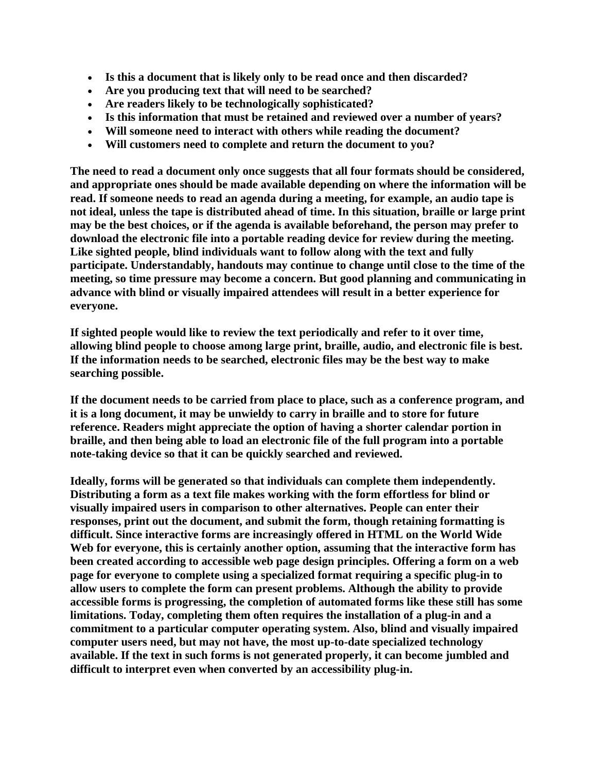- **Is this a document that is likely only to be read once and then discarded?**
- **Are you producing text that will need to be searched?**
- **Are readers likely to be technologically sophisticated?**
- **Is this information that must be retained and reviewed over a number of years?**
- **Will someone need to interact with others while reading the document?**
- **Will customers need to complete and return the document to you?**

**The need to read a document only once suggests that all four formats should be considered, and appropriate ones should be made available depending on where the information will be read. If someone needs to read an agenda during a meeting, for example, an audio tape is not ideal, unless the tape is distributed ahead of time. In this situation, braille or large print may be the best choices, or if the agenda is available beforehand, the person may prefer to download the electronic file into a portable reading device for review during the meeting. Like sighted people, blind individuals want to follow along with the text and fully participate. Understandably, handouts may continue to change until close to the time of the meeting, so time pressure may become a concern. But good planning and communicating in advance with blind or visually impaired attendees will result in a better experience for everyone.** 

**If sighted people would like to review the text periodically and refer to it over time, allowing blind people to choose among large print, braille, audio, and electronic file is best. If the information needs to be searched, electronic files may be the best way to make searching possible.** 

**If the document needs to be carried from place to place, such as a conference program, and it is a long document, it may be unwieldy to carry in braille and to store for future reference. Readers might appreciate the option of having a shorter calendar portion in braille, and then being able to load an electronic file of the full program into a portable note-taking device so that it can be quickly searched and reviewed.** 

**Ideally, forms will be generated so that individuals can complete them independently. Distributing a form as a text file makes working with the form effortless for blind or visually impaired users in comparison to other alternatives. People can enter their responses, print out the document, and submit the form, though retaining formatting is difficult. Since interactive forms are increasingly offered in HTML on the World Wide Web for everyone, this is certainly another option, assuming that the interactive form has been created according to accessible web page design principles. Offering a form on a web page for everyone to complete using a specialized format requiring a specific plug-in to allow users to complete the form can present problems. Although the ability to provide accessible forms is progressing, the completion of automated forms like these still has some limitations. Today, completing them often requires the installation of a plug-in and a commitment to a particular computer operating system. Also, blind and visually impaired computer users need, but may not have, the most up-to-date specialized technology available. If the text in such forms is not generated properly, it can become jumbled and difficult to interpret even when converted by an accessibility plug-in.**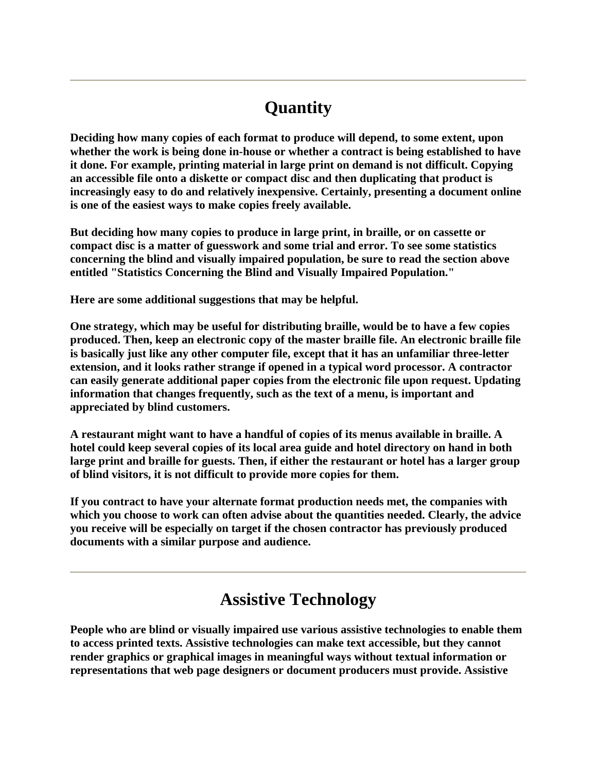## **Quantity**

**Deciding how many copies of each format to produce will depend, to some extent, upon whether the work is being done in-house or whether a contract is being established to have it done. For example, printing material in large print on demand is not difficult. Copying an accessible file onto a diskette or compact disc and then duplicating that product is increasingly easy to do and relatively inexpensive. Certainly, presenting a document online is one of the easiest ways to make copies freely available.** 

**But deciding how many copies to produce in large print, in braille, or on cassette or compact disc is a matter of guesswork and some trial and error. To see some statistics concerning the blind and visually impaired population, be sure to read the section above entitled "Statistics Concerning the Blind and Visually Impaired Population."** 

**Here are some additional suggestions that may be helpful.** 

**One strategy, which may be useful for distributing braille, would be to have a few copies produced. Then, keep an electronic copy of the master braille file. An electronic braille file is basically just like any other computer file, except that it has an unfamiliar three-letter extension, and it looks rather strange if opened in a typical word processor. A contractor can easily generate additional paper copies from the electronic file upon request. Updating information that changes frequently, such as the text of a menu, is important and appreciated by blind customers.** 

**A restaurant might want to have a handful of copies of its menus available in braille. A hotel could keep several copies of its local area guide and hotel directory on hand in both large print and braille for guests. Then, if either the restaurant or hotel has a larger group of blind visitors, it is not difficult to provide more copies for them.** 

**If you contract to have your alternate format production needs met, the companies with which you choose to work can often advise about the quantities needed. Clearly, the advice you receive will be especially on target if the chosen contractor has previously produced documents with a similar purpose and audience.** 

#### **Assistive Technology**

**People who are blind or visually impaired use various assistive technologies to enable them to access printed texts. Assistive technologies can make text accessible, but they cannot render graphics or graphical images in meaningful ways without textual information or representations that web page designers or document producers must provide. Assistive**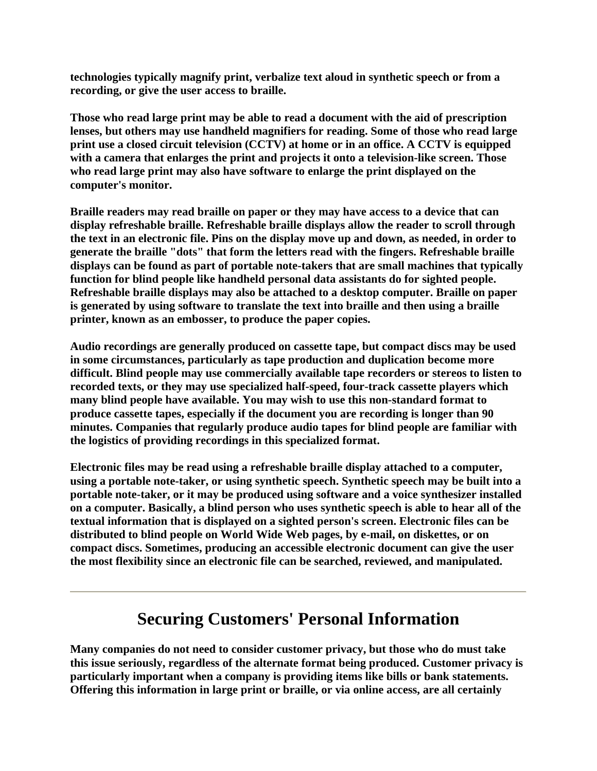**technologies typically magnify print, verbalize text aloud in synthetic speech or from a recording, or give the user access to braille.** 

**Those who read large print may be able to read a document with the aid of prescription lenses, but others may use handheld magnifiers for reading. Some of those who read large print use a closed circuit television (CCTV) at home or in an office. A CCTV is equipped with a camera that enlarges the print and projects it onto a television-like screen. Those who read large print may also have software to enlarge the print displayed on the computer's monitor.** 

**Braille readers may read braille on paper or they may have access to a device that can display refreshable braille. Refreshable braille displays allow the reader to scroll through the text in an electronic file. Pins on the display move up and down, as needed, in order to generate the braille "dots" that form the letters read with the fingers. Refreshable braille displays can be found as part of portable note-takers that are small machines that typically function for blind people like handheld personal data assistants do for sighted people. Refreshable braille displays may also be attached to a desktop computer. Braille on paper is generated by using software to translate the text into braille and then using a braille printer, known as an embosser, to produce the paper copies.** 

**Audio recordings are generally produced on cassette tape, but compact discs may be used in some circumstances, particularly as tape production and duplication become more difficult. Blind people may use commercially available tape recorders or stereos to listen to recorded texts, or they may use specialized half-speed, four-track cassette players which many blind people have available. You may wish to use this non-standard format to produce cassette tapes, especially if the document you are recording is longer than 90 minutes. Companies that regularly produce audio tapes for blind people are familiar with the logistics of providing recordings in this specialized format.** 

**Electronic files may be read using a refreshable braille display attached to a computer, using a portable note-taker, or using synthetic speech. Synthetic speech may be built into a portable note-taker, or it may be produced using software and a voice synthesizer installed on a computer. Basically, a blind person who uses synthetic speech is able to hear all of the textual information that is displayed on a sighted person's screen. Electronic files can be distributed to blind people on World Wide Web pages, by e-mail, on diskettes, or on compact discs. Sometimes, producing an accessible electronic document can give the user the most flexibility since an electronic file can be searched, reviewed, and manipulated.** 

### **Securing Customers' Personal Information**

**Many companies do not need to consider customer privacy, but those who do must take this issue seriously, regardless of the alternate format being produced. Customer privacy is particularly important when a company is providing items like bills or bank statements. Offering this information in large print or braille, or via online access, are all certainly**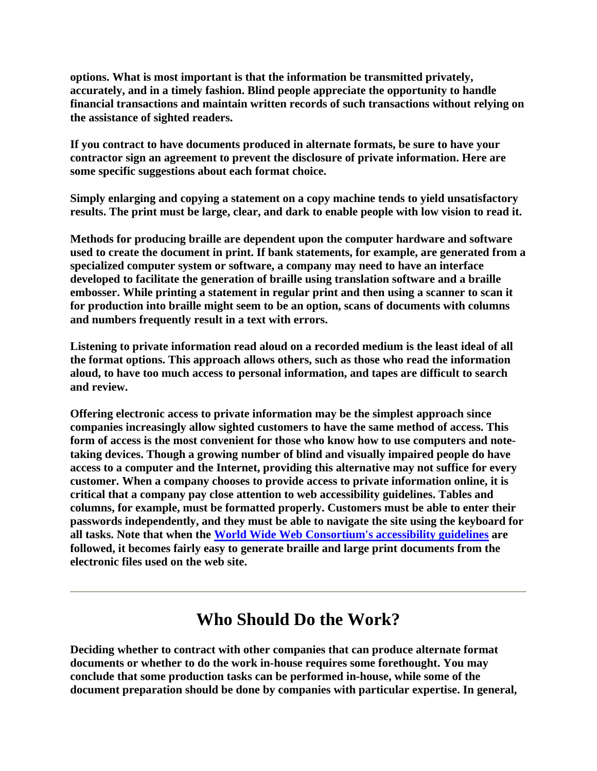**options. What is most important is that the information be transmitted privately, accurately, and in a timely fashion. Blind people appreciate the opportunity to handle financial transactions and maintain written records of such transactions without relying on the assistance of sighted readers.** 

**If you contract to have documents produced in alternate formats, be sure to have your contractor sign an agreement to prevent the disclosure of private information. Here are some specific suggestions about each format choice.** 

**Simply enlarging and copying a statement on a copy machine tends to yield unsatisfactory results. The print must be large, clear, and dark to enable people with low vision to read it.** 

**Methods for producing braille are dependent upon the computer hardware and software used to create the document in print. If bank statements, for example, are generated from a specialized computer system or software, a company may need to have an interface developed to facilitate the generation of braille using translation software and a braille embosser. While printing a statement in regular print and then using a scanner to scan it for production into braille might seem to be an option, scans of documents with columns and numbers frequently result in a text with errors.** 

**Listening to private information read aloud on a recorded medium is the least ideal of all the format options. This approach allows others, such as those who read the information aloud, to have too much access to personal information, and tapes are difficult to search and review.** 

**Offering electronic access to private information may be the simplest approach since companies increasingly allow sighted customers to have the same method of access. This form of access is the most convenient for those who know how to use computers and notetaking devices. Though a growing number of blind and visually impaired people do have access to a computer and the Internet, providing this alternative may not suffice for every customer. When a company chooses to provide access to private information online, it is critical that a company pay close attention to web accessibility guidelines. Tables and columns, for example, must be formatted properly. Customers must be able to enter their passwords independently, and they must be able to navigate the site using the keyboard for all tasks. Note that when the World Wide Web Consortium's accessibility guidelines are followed, it becomes fairly easy to generate braille and large print documents from the electronic files used on the web site.** 

#### **Who Should Do the Work?**

**Deciding whether to contract with other companies that can produce alternate format documents or whether to do the work in-house requires some forethought. You may conclude that some production tasks can be performed in-house, while some of the document preparation should be done by companies with particular expertise. In general,**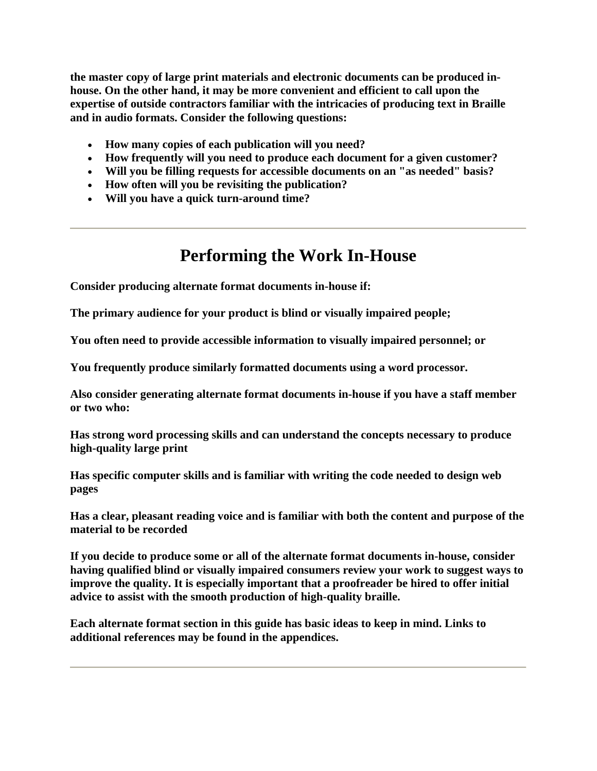**the master copy of large print materials and electronic documents can be produced inhouse. On the other hand, it may be more convenient and efficient to call upon the expertise of outside contractors familiar with the intricacies of producing text in Braille and in audio formats. Consider the following questions:** 

- **How many copies of each publication will you need?**
- **How frequently will you need to produce each document for a given customer?**
- **Will you be filling requests for accessible documents on an "as needed" basis?**
- **How often will you be revisiting the publication?**
- **Will you have a quick turn-around time?**

### **Performing the Work In-House**

**Consider producing alternate format documents in-house if:**

**The primary audience for your product is blind or visually impaired people;**

**You often need to provide accessible information to visually impaired personnel; or**

**You frequently produce similarly formatted documents using a word processor.**

**Also consider generating alternate format documents in-house if you have a staff member or two who:** 

**Has strong word processing skills and can understand the concepts necessary to produce high-quality large print**

**Has specific computer skills and is familiar with writing the code needed to design web pages**

**Has a clear, pleasant reading voice and is familiar with both the content and purpose of the material to be recorded**

**If you decide to produce some or all of the alternate format documents in-house, consider having qualified blind or visually impaired consumers review your work to suggest ways to improve the quality. It is especially important that a proofreader be hired to offer initial advice to assist with the smooth production of high-quality braille.**

**Each alternate format section in this guide has basic ideas to keep in mind. Links to additional references may be found in the appendices.**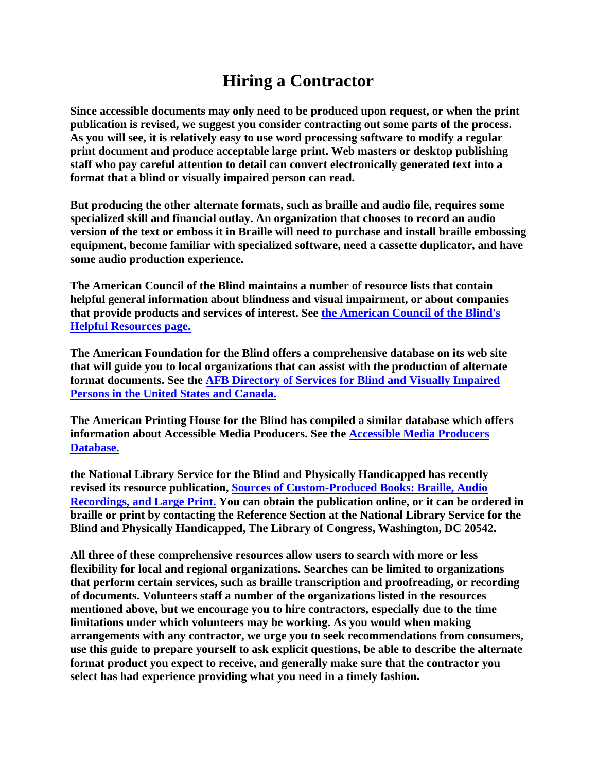## **Hiring a Contractor**

**Since accessible documents may only need to be produced upon request, or when the print publication is revised, we suggest you consider contracting out some parts of the process. As you will see, it is relatively easy to use word processing software to modify a regular print document and produce acceptable large print. Web masters or desktop publishing staff who pay careful attention to detail can convert electronically generated text into a format that a blind or visually impaired person can read.**

**But producing the other alternate formats, such as braille and audio file, requires some specialized skill and financial outlay. An organization that chooses to record an audio version of the text or emboss it in Braille will need to purchase and install braille embossing equipment, become familiar with specialized software, need a cassette duplicator, and have some audio production experience.**

**The American Council of the Blind maintains a number of resource lists that contain helpful general information about blindness and visual impairment, or about companies that provide products and services of interest. See the American Council of the Blind's Helpful Resources page.**

**The American Foundation for the Blind offers a comprehensive database on its web site that will guide you to local organizations that can assist with the production of alternate format documents. See the AFB Directory of Services for Blind and Visually Impaired Persons in the United States and Canada.**

**The American Printing House for the Blind has compiled a similar database which offers information about Accessible Media Producers. See the Accessible Media Producers Database.**

**the National Library Service for the Blind and Physically Handicapped has recently revised its resource publication, Sources of Custom-Produced Books: Braille, Audio Recordings, and Large Print. You can obtain the publication online, or it can be ordered in braille or print by contacting the Reference Section at the National Library Service for the Blind and Physically Handicapped, The Library of Congress, Washington, DC 20542.** 

**All three of these comprehensive resources allow users to search with more or less flexibility for local and regional organizations. Searches can be limited to organizations that perform certain services, such as braille transcription and proofreading, or recording of documents. Volunteers staff a number of the organizations listed in the resources mentioned above, but we encourage you to hire contractors, especially due to the time limitations under which volunteers may be working. As you would when making arrangements with any contractor, we urge you to seek recommendations from consumers, use this guide to prepare yourself to ask explicit questions, be able to describe the alternate format product you expect to receive, and generally make sure that the contractor you select has had experience providing what you need in a timely fashion.**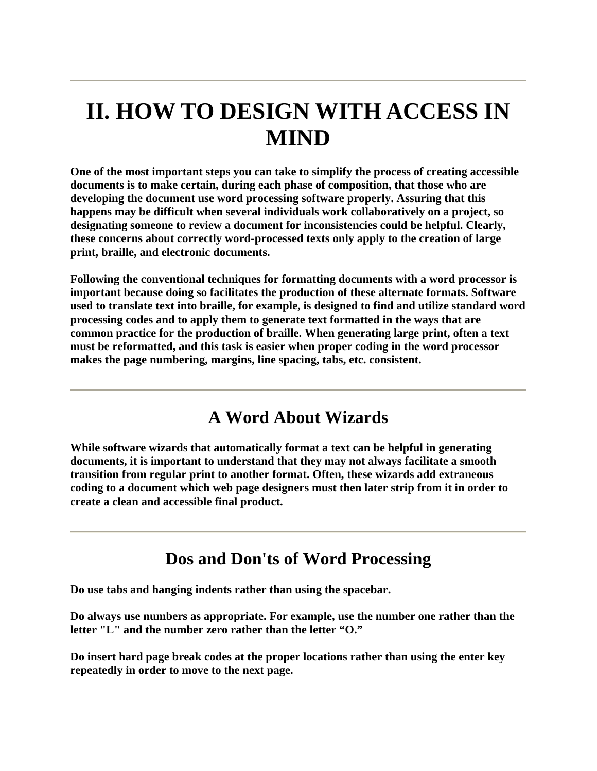## **II. HOW TO DESIGN WITH ACCESS IN MIND**

**One of the most important steps you can take to simplify the process of creating accessible documents is to make certain, during each phase of composition, that those who are developing the document use word processing software properly. Assuring that this happens may be difficult when several individuals work collaboratively on a project, so designating someone to review a document for inconsistencies could be helpful. Clearly, these concerns about correctly word-processed texts only apply to the creation of large print, braille, and electronic documents.**

**Following the conventional techniques for formatting documents with a word processor is important because doing so facilitates the production of these alternate formats. Software used to translate text into braille, for example, is designed to find and utilize standard word processing codes and to apply them to generate text formatted in the ways that are common practice for the production of braille. When generating large print, often a text must be reformatted, and this task is easier when proper coding in the word processor makes the page numbering, margins, line spacing, tabs, etc. consistent.**

#### **A Word About Wizards**

**While software wizards that automatically format a text can be helpful in generating documents, it is important to understand that they may not always facilitate a smooth transition from regular print to another format. Often, these wizards add extraneous coding to a document which web page designers must then later strip from it in order to create a clean and accessible final product.**

#### **Dos and Don'ts of Word Processing**

**Do use tabs and hanging indents rather than using the spacebar.**

**Do always use numbers as appropriate. For example, use the number one rather than the letter "L" and the number zero rather than the letter "O."**

**Do insert hard page break codes at the proper locations rather than using the enter key repeatedly in order to move to the next page.**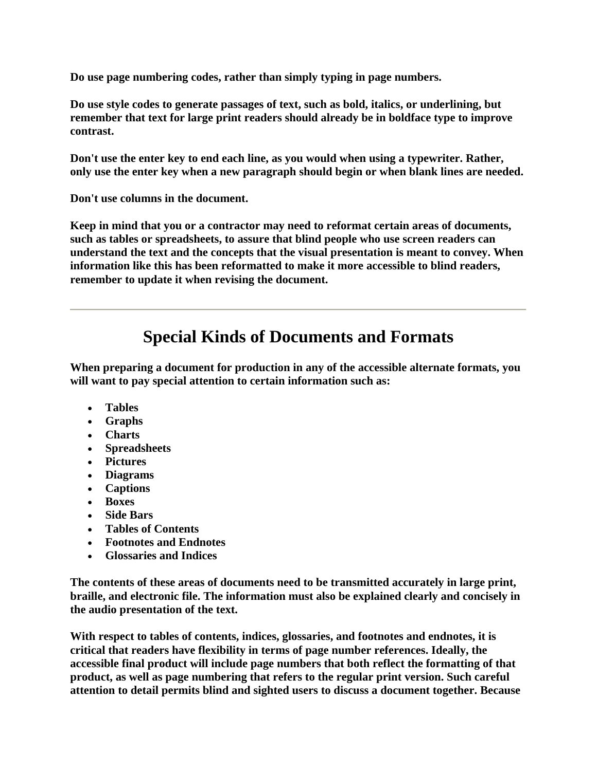**Do use page numbering codes, rather than simply typing in page numbers.**

**Do use style codes to generate passages of text, such as bold, italics, or underlining, but remember that text for large print readers should already be in boldface type to improve contrast.**

**Don't use the enter key to end each line, as you would when using a typewriter. Rather, only use the enter key when a new paragraph should begin or when blank lines are needed.**

**Don't use columns in the document.**

**Keep in mind that you or a contractor may need to reformat certain areas of documents, such as tables or spreadsheets, to assure that blind people who use screen readers can understand the text and the concepts that the visual presentation is meant to convey. When information like this has been reformatted to make it more accessible to blind readers, remember to update it when revising the document.**

## **Special Kinds of Documents and Formats**

**When preparing a document for production in any of the accessible alternate formats, you will want to pay special attention to certain information such as:**

- **Tables**
- **Graphs**
- **Charts**
- **Spreadsheets**
- **Pictures**
- **Diagrams**
- **Captions**
- **Boxes**
- **Side Bars**
- **Tables of Contents**
- **Footnotes and Endnotes**
- **Glossaries and Indices**

**The contents of these areas of documents need to be transmitted accurately in large print, braille, and electronic file. The information must also be explained clearly and concisely in the audio presentation of the text.**

**With respect to tables of contents, indices, glossaries, and footnotes and endnotes, it is critical that readers have flexibility in terms of page number references. Ideally, the accessible final product will include page numbers that both reflect the formatting of that product, as well as page numbering that refers to the regular print version. Such careful attention to detail permits blind and sighted users to discuss a document together. Because**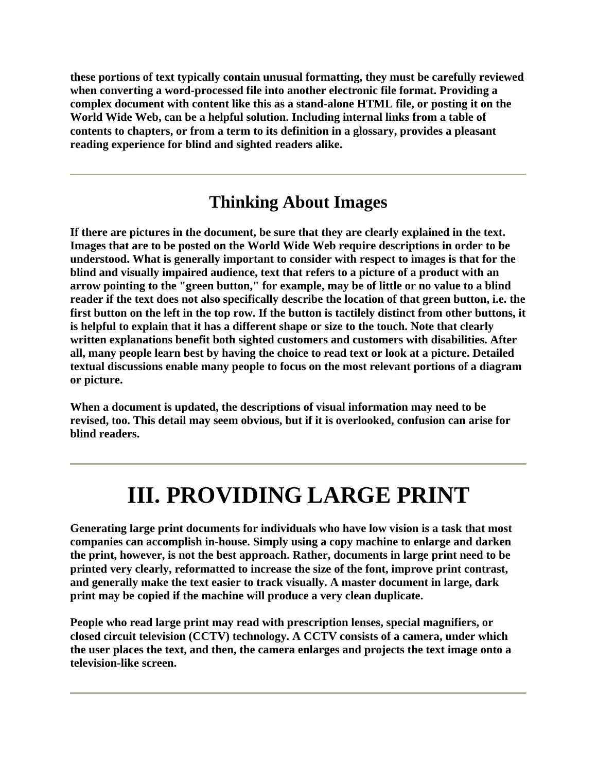**these portions of text typically contain unusual formatting, they must be carefully reviewed when converting a word-processed file into another electronic file format. Providing a complex document with content like this as a stand-alone HTML file, or posting it on the World Wide Web, can be a helpful solution. Including internal links from a table of contents to chapters, or from a term to its definition in a glossary, provides a pleasant reading experience for blind and sighted readers alike.**

#### **Thinking About Images**

**If there are pictures in the document, be sure that they are clearly explained in the text. Images that are to be posted on the World Wide Web require descriptions in order to be understood. What is generally important to consider with respect to images is that for the blind and visually impaired audience, text that refers to a picture of a product with an arrow pointing to the "green button," for example, may be of little or no value to a blind reader if the text does not also specifically describe the location of that green button, i.e. the first button on the left in the top row. If the button is tactilely distinct from other buttons, it is helpful to explain that it has a different shape or size to the touch. Note that clearly written explanations benefit both sighted customers and customers with disabilities. After all, many people learn best by having the choice to read text or look at a picture. Detailed textual discussions enable many people to focus on the most relevant portions of a diagram or picture.**

**When a document is updated, the descriptions of visual information may need to be revised, too. This detail may seem obvious, but if it is overlooked, confusion can arise for blind readers.**

# **III. PROVIDING LARGE PRINT**

**Generating large print documents for individuals who have low vision is a task that most companies can accomplish in-house. Simply using a copy machine to enlarge and darken the print, however, is not the best approach. Rather, documents in large print need to be printed very clearly, reformatted to increase the size of the font, improve print contrast, and generally make the text easier to track visually. A master document in large, dark print may be copied if the machine will produce a very clean duplicate.**

**People who read large print may read with prescription lenses, special magnifiers, or closed circuit television (CCTV) technology. A CCTV consists of a camera, under which the user places the text, and then, the camera enlarges and projects the text image onto a television-like screen.**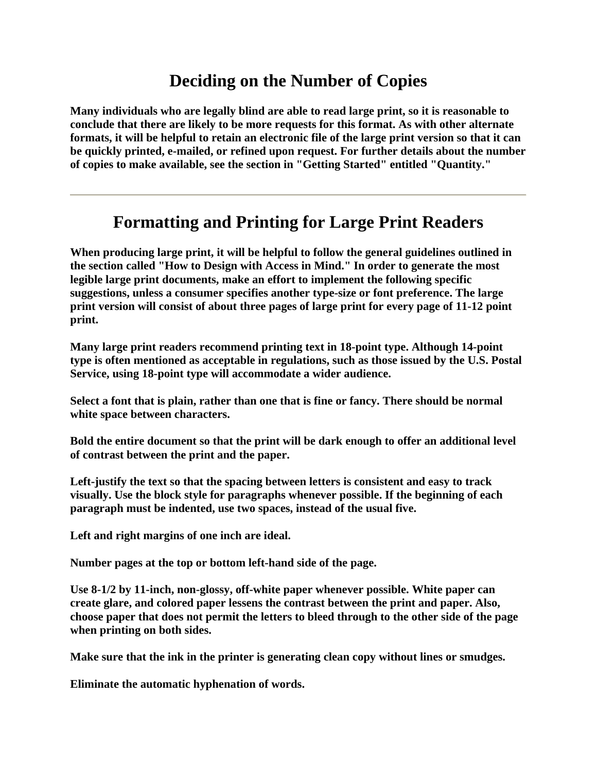### **Deciding on the Number of Copies**

**Many individuals who are legally blind are able to read large print, so it is reasonable to conclude that there are likely to be more requests for this format. As with other alternate formats, it will be helpful to retain an electronic file of the large print version so that it can be quickly printed, e-mailed, or refined upon request. For further details about the number of copies to make available, see the section in "Getting Started" entitled "Quantity."**

### **Formatting and Printing for Large Print Readers**

**When producing large print, it will be helpful to follow the general guidelines outlined in the section called "How to Design with Access in Mind." In order to generate the most legible large print documents, make an effort to implement the following specific suggestions, unless a consumer specifies another type-size or font preference. The large print version will consist of about three pages of large print for every page of 11-12 point print.**

**Many large print readers recommend printing text in 18-point type. Although 14-point type is often mentioned as acceptable in regulations, such as those issued by the U.S. Postal Service, using 18-point type will accommodate a wider audience.**

**Select a font that is plain, rather than one that is fine or fancy. There should be normal white space between characters.**

**Bold the entire document so that the print will be dark enough to offer an additional level of contrast between the print and the paper.**

**Left-justify the text so that the spacing between letters is consistent and easy to track visually. Use the block style for paragraphs whenever possible. If the beginning of each paragraph must be indented, use two spaces, instead of the usual five.**

**Left and right margins of one inch are ideal.**

**Number pages at the top or bottom left-hand side of the page.**

**Use 8-1/2 by 11-inch, non-glossy, off-white paper whenever possible. White paper can create glare, and colored paper lessens the contrast between the print and paper. Also, choose paper that does not permit the letters to bleed through to the other side of the page when printing on both sides.**

**Make sure that the ink in the printer is generating clean copy without lines or smudges.**

**Eliminate the automatic hyphenation of words.**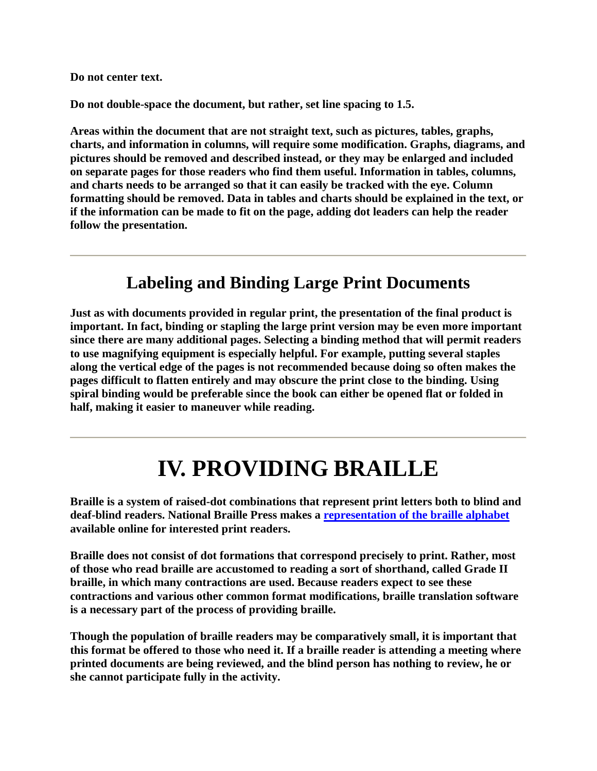**Do not center text.**

**Do not double-space the document, but rather, set line spacing to 1.5.**

**Areas within the document that are not straight text, such as pictures, tables, graphs, charts, and information in columns, will require some modification. Graphs, diagrams, and pictures should be removed and described instead, or they may be enlarged and included on separate pages for those readers who find them useful. Information in tables, columns, and charts needs to be arranged so that it can easily be tracked with the eye. Column formatting should be removed. Data in tables and charts should be explained in the text, or if the information can be made to fit on the page, adding dot leaders can help the reader follow the presentation.**

#### **Labeling and Binding Large Print Documents**

**Just as with documents provided in regular print, the presentation of the final product is important. In fact, binding or stapling the large print version may be even more important since there are many additional pages. Selecting a binding method that will permit readers to use magnifying equipment is especially helpful. For example, putting several staples along the vertical edge of the pages is not recommended because doing so often makes the pages difficult to flatten entirely and may obscure the print close to the binding. Using spiral binding would be preferable since the book can either be opened flat or folded in half, making it easier to maneuver while reading.**

## **IV. PROVIDING BRAILLE**

**Braille is a system of raised-dot combinations that represent print letters both to blind and deaf-blind readers. National Braille Press makes a representation of the braille alphabet available online for interested print readers.**

**Braille does not consist of dot formations that correspond precisely to print. Rather, most of those who read braille are accustomed to reading a sort of shorthand, called Grade II braille, in which many contractions are used. Because readers expect to see these contractions and various other common format modifications, braille translation software is a necessary part of the process of providing braille.**

**Though the population of braille readers may be comparatively small, it is important that this format be offered to those who need it. If a braille reader is attending a meeting where printed documents are being reviewed, and the blind person has nothing to review, he or she cannot participate fully in the activity.**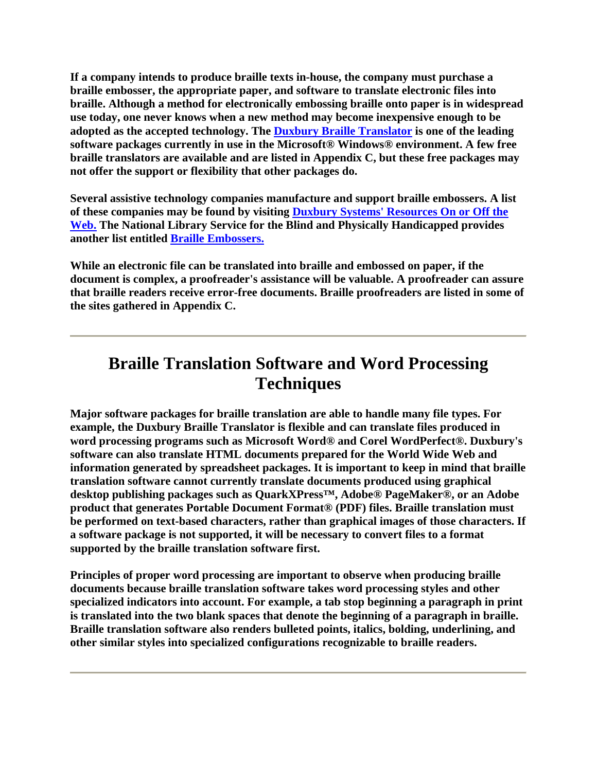**If a company intends to produce braille texts in-house, the company must purchase a braille embosser, the appropriate paper, and software to translate electronic files into braille. Although a method for electronically embossing braille onto paper is in widespread use today, one never knows when a new method may become inexpensive enough to be adopted as the accepted technology. The Duxbury Braille Translator is one of the leading software packages currently in use in the Microsoft® Windows® environment. A few free braille translators are available and are listed in Appendix C, but these free packages may not offer the support or flexibility that other packages do.**

**Several assistive technology companies manufacture and support braille embossers. A list of these companies may be found by visiting Duxbury Systems' Resources On or Off the Web. The National Library Service for the Blind and Physically Handicapped provides another list entitled Braille Embossers.**

**While an electronic file can be translated into braille and embossed on paper, if the document is complex, a proofreader's assistance will be valuable. A proofreader can assure that braille readers receive error-free documents. Braille proofreaders are listed in some of the sites gathered in Appendix C.**

### **Braille Translation Software and Word Processing Techniques**

**Major software packages for braille translation are able to handle many file types. For example, the Duxbury Braille Translator is flexible and can translate files produced in word processing programs such as Microsoft Word® and Corel WordPerfect®. Duxbury's software can also translate HTML documents prepared for the World Wide Web and information generated by spreadsheet packages. It is important to keep in mind that braille translation software cannot currently translate documents produced using graphical desktop publishing packages such as QuarkXPress™, Adobe® PageMaker®, or an Adobe product that generates Portable Document Format® (PDF) files. Braille translation must be performed on text-based characters, rather than graphical images of those characters. If a software package is not supported, it will be necessary to convert files to a format supported by the braille translation software first.**

**Principles of proper word processing are important to observe when producing braille documents because braille translation software takes word processing styles and other specialized indicators into account. For example, a tab stop beginning a paragraph in print is translated into the two blank spaces that denote the beginning of a paragraph in braille. Braille translation software also renders bulleted points, italics, bolding, underlining, and other similar styles into specialized configurations recognizable to braille readers.**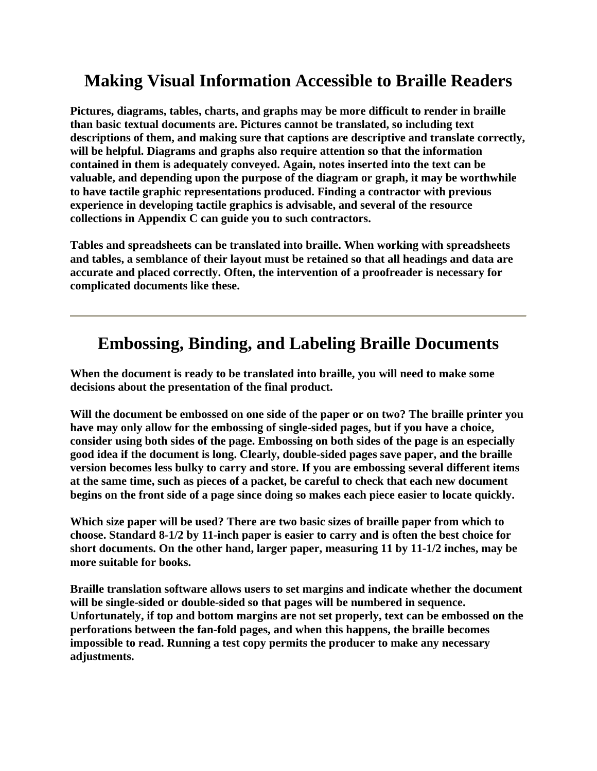## **Making Visual Information Accessible to Braille Readers**

**Pictures, diagrams, tables, charts, and graphs may be more difficult to render in braille than basic textual documents are. Pictures cannot be translated, so including text descriptions of them, and making sure that captions are descriptive and translate correctly, will be helpful. Diagrams and graphs also require attention so that the information contained in them is adequately conveyed. Again, notes inserted into the text can be valuable, and depending upon the purpose of the diagram or graph, it may be worthwhile to have tactile graphic representations produced. Finding a contractor with previous experience in developing tactile graphics is advisable, and several of the resource collections in Appendix C can guide you to such contractors.**

**Tables and spreadsheets can be translated into braille. When working with spreadsheets and tables, a semblance of their layout must be retained so that all headings and data are accurate and placed correctly. Often, the intervention of a proofreader is necessary for complicated documents like these.**

### **Embossing, Binding, and Labeling Braille Documents**

**When the document is ready to be translated into braille, you will need to make some decisions about the presentation of the final product.**

**Will the document be embossed on one side of the paper or on two? The braille printer you have may only allow for the embossing of single-sided pages, but if you have a choice, consider using both sides of the page. Embossing on both sides of the page is an especially good idea if the document is long. Clearly, double-sided pages save paper, and the braille version becomes less bulky to carry and store. If you are embossing several different items at the same time, such as pieces of a packet, be careful to check that each new document begins on the front side of a page since doing so makes each piece easier to locate quickly.**

**Which size paper will be used? There are two basic sizes of braille paper from which to choose. Standard 8-1/2 by 11-inch paper is easier to carry and is often the best choice for short documents. On the other hand, larger paper, measuring 11 by 11-1/2 inches, may be more suitable for books.**

**Braille translation software allows users to set margins and indicate whether the document will be single-sided or double-sided so that pages will be numbered in sequence. Unfortunately, if top and bottom margins are not set properly, text can be embossed on the perforations between the fan-fold pages, and when this happens, the braille becomes impossible to read. Running a test copy permits the producer to make any necessary adjustments.**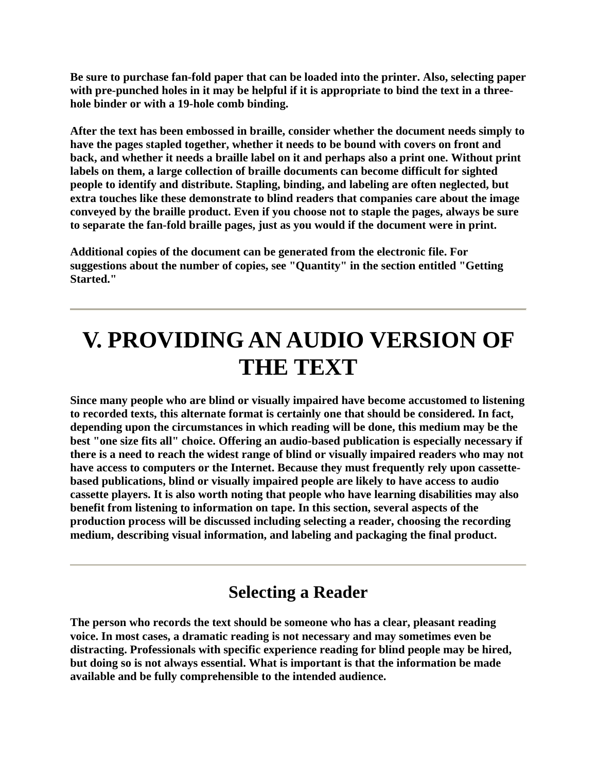**Be sure to purchase fan-fold paper that can be loaded into the printer. Also, selecting paper with pre-punched holes in it may be helpful if it is appropriate to bind the text in a threehole binder or with a 19-hole comb binding.**

**After the text has been embossed in braille, consider whether the document needs simply to have the pages stapled together, whether it needs to be bound with covers on front and back, and whether it needs a braille label on it and perhaps also a print one. Without print labels on them, a large collection of braille documents can become difficult for sighted people to identify and distribute. Stapling, binding, and labeling are often neglected, but extra touches like these demonstrate to blind readers that companies care about the image conveyed by the braille product. Even if you choose not to staple the pages, always be sure to separate the fan-fold braille pages, just as you would if the document were in print.**

**Additional copies of the document can be generated from the electronic file. For suggestions about the number of copies, see "Quantity" in the section entitled "Getting Started."**

## **V. PROVIDING AN AUDIO VERSION OF THE TEXT**

**Since many people who are blind or visually impaired have become accustomed to listening to recorded texts, this alternate format is certainly one that should be considered. In fact, depending upon the circumstances in which reading will be done, this medium may be the best "one size fits all" choice. Offering an audio-based publication is especially necessary if there is a need to reach the widest range of blind or visually impaired readers who may not have access to computers or the Internet. Because they must frequently rely upon cassettebased publications, blind or visually impaired people are likely to have access to audio cassette players. It is also worth noting that people who have learning disabilities may also benefit from listening to information on tape. In this section, several aspects of the production process will be discussed including selecting a reader, choosing the recording medium, describing visual information, and labeling and packaging the final product.**

#### **Selecting a Reader**

**The person who records the text should be someone who has a clear, pleasant reading voice. In most cases, a dramatic reading is not necessary and may sometimes even be distracting. Professionals with specific experience reading for blind people may be hired, but doing so is not always essential. What is important is that the information be made available and be fully comprehensible to the intended audience.**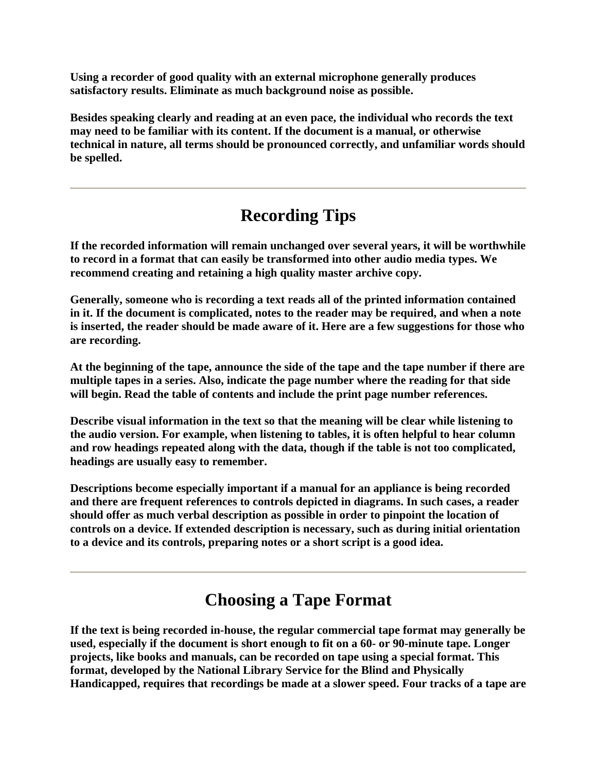**Using a recorder of good quality with an external microphone generally produces satisfactory results. Eliminate as much background noise as possible.**

**Besides speaking clearly and reading at an even pace, the individual who records the text may need to be familiar with its content. If the document is a manual, or otherwise technical in nature, all terms should be pronounced correctly, and unfamiliar words should be spelled.**

## **Recording Tips**

**If the recorded information will remain unchanged over several years, it will be worthwhile to record in a format that can easily be transformed into other audio media types. We recommend creating and retaining a high quality master archive copy.**

**Generally, someone who is recording a text reads all of the printed information contained in it. If the document is complicated, notes to the reader may be required, and when a note is inserted, the reader should be made aware of it. Here are a few suggestions for those who are recording.**

**At the beginning of the tape, announce the side of the tape and the tape number if there are multiple tapes in a series. Also, indicate the page number where the reading for that side will begin. Read the table of contents and include the print page number references.**

**Describe visual information in the text so that the meaning will be clear while listening to the audio version. For example, when listening to tables, it is often helpful to hear column and row headings repeated along with the data, though if the table is not too complicated, headings are usually easy to remember.**

**Descriptions become especially important if a manual for an appliance is being recorded and there are frequent references to controls depicted in diagrams. In such cases, a reader should offer as much verbal description as possible in order to pinpoint the location of controls on a device. If extended description is necessary, such as during initial orientation to a device and its controls, preparing notes or a short script is a good idea.**

### **Choosing a Tape Format**

**If the text is being recorded in-house, the regular commercial tape format may generally be used, especially if the document is short enough to fit on a 60- or 90-minute tape. Longer projects, like books and manuals, can be recorded on tape using a special format. This format, developed by the National Library Service for the Blind and Physically Handicapped, requires that recordings be made at a slower speed. Four tracks of a tape are**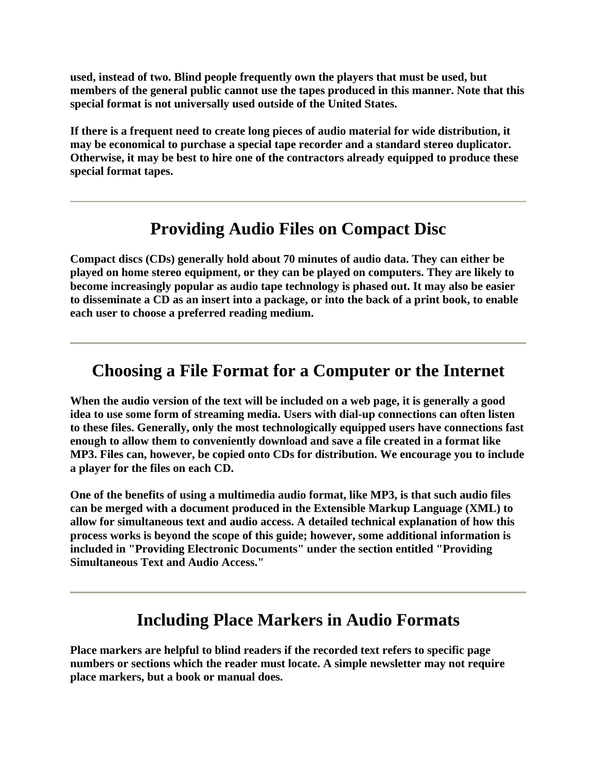**used, instead of two. Blind people frequently own the players that must be used, but members of the general public cannot use the tapes produced in this manner. Note that this special format is not universally used outside of the United States.**

**If there is a frequent need to create long pieces of audio material for wide distribution, it may be economical to purchase a special tape recorder and a standard stereo duplicator. Otherwise, it may be best to hire one of the contractors already equipped to produce these special format tapes.**

#### **Providing Audio Files on Compact Disc**

**Compact discs (CDs) generally hold about 70 minutes of audio data. They can either be played on home stereo equipment, or they can be played on computers. They are likely to become increasingly popular as audio tape technology is phased out. It may also be easier to disseminate a CD as an insert into a package, or into the back of a print book, to enable each user to choose a preferred reading medium.**

#### **Choosing a File Format for a Computer or the Internet**

**When the audio version of the text will be included on a web page, it is generally a good idea to use some form of streaming media. Users with dial-up connections can often listen to these files. Generally, only the most technologically equipped users have connections fast enough to allow them to conveniently download and save a file created in a format like MP3. Files can, however, be copied onto CDs for distribution. We encourage you to include a player for the files on each CD.**

**One of the benefits of using a multimedia audio format, like MP3, is that such audio files can be merged with a document produced in the Extensible Markup Language (XML) to allow for simultaneous text and audio access. A detailed technical explanation of how this process works is beyond the scope of this guide; however, some additional information is included in "Providing Electronic Documents" under the section entitled "Providing Simultaneous Text and Audio Access."**

#### **Including Place Markers in Audio Formats**

**Place markers are helpful to blind readers if the recorded text refers to specific page numbers or sections which the reader must locate. A simple newsletter may not require place markers, but a book or manual does.**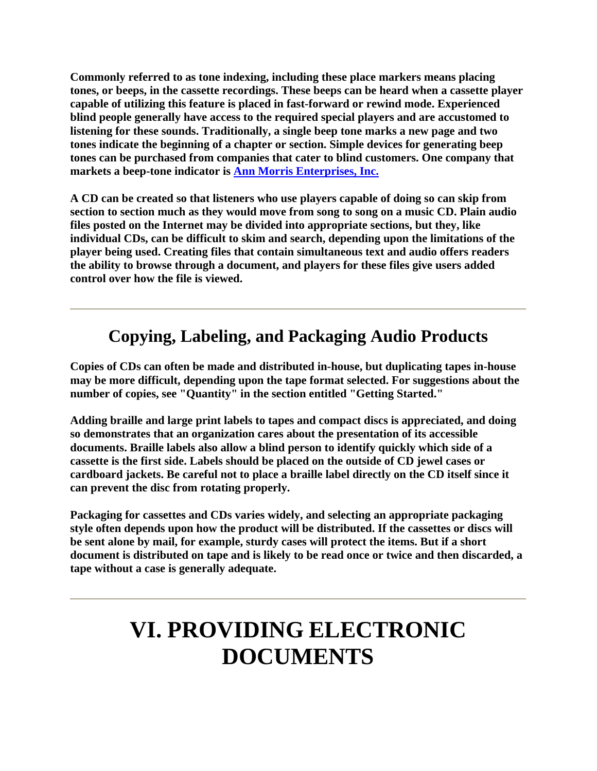**Commonly referred to as tone indexing, including these place markers means placing tones, or beeps, in the cassette recordings. These beeps can be heard when a cassette player capable of utilizing this feature is placed in fast-forward or rewind mode. Experienced blind people generally have access to the required special players and are accustomed to listening for these sounds. Traditionally, a single beep tone marks a new page and two tones indicate the beginning of a chapter or section. Simple devices for generating beep tones can be purchased from companies that cater to blind customers. One company that markets a beep-tone indicator is Ann Morris Enterprises, Inc.**

**A CD can be created so that listeners who use players capable of doing so can skip from section to section much as they would move from song to song on a music CD. Plain audio files posted on the Internet may be divided into appropriate sections, but they, like individual CDs, can be difficult to skim and search, depending upon the limitations of the player being used. Creating files that contain simultaneous text and audio offers readers the ability to browse through a document, and players for these files give users added control over how the file is viewed.**

### **Copying, Labeling, and Packaging Audio Products**

**Copies of CDs can often be made and distributed in-house, but duplicating tapes in-house may be more difficult, depending upon the tape format selected. For suggestions about the number of copies, see "Quantity" in the section entitled "Getting Started."**

**Adding braille and large print labels to tapes and compact discs is appreciated, and doing so demonstrates that an organization cares about the presentation of its accessible documents. Braille labels also allow a blind person to identify quickly which side of a cassette is the first side. Labels should be placed on the outside of CD jewel cases or cardboard jackets. Be careful not to place a braille label directly on the CD itself since it can prevent the disc from rotating properly.**

**Packaging for cassettes and CDs varies widely, and selecting an appropriate packaging style often depends upon how the product will be distributed. If the cassettes or discs will be sent alone by mail, for example, sturdy cases will protect the items. But if a short document is distributed on tape and is likely to be read once or twice and then discarded, a tape without a case is generally adequate.**

## **VI. PROVIDING ELECTRONIC DOCUMENTS**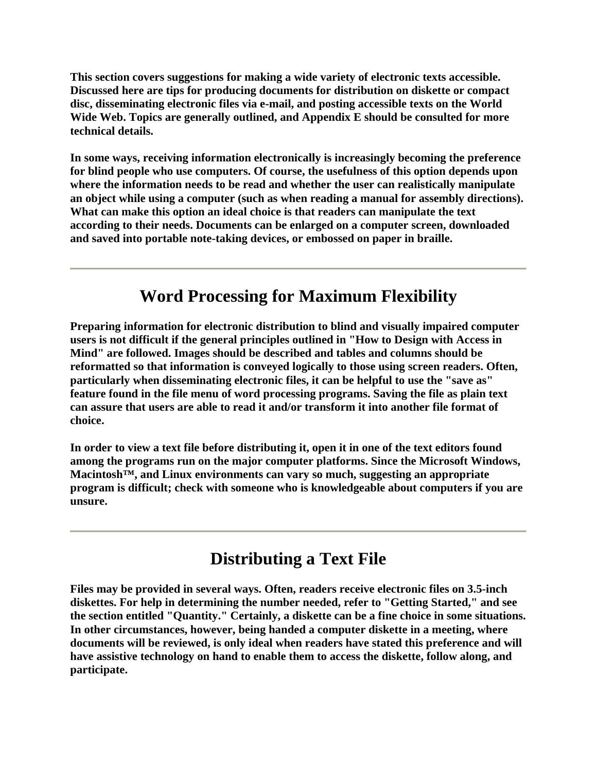**This section covers suggestions for making a wide variety of electronic texts accessible. Discussed here are tips for producing documents for distribution on diskette or compact disc, disseminating electronic files via e-mail, and posting accessible texts on the World Wide Web. Topics are generally outlined, and Appendix E should be consulted for more technical details.**

**In some ways, receiving information electronically is increasingly becoming the preference for blind people who use computers. Of course, the usefulness of this option depends upon where the information needs to be read and whether the user can realistically manipulate an object while using a computer (such as when reading a manual for assembly directions). What can make this option an ideal choice is that readers can manipulate the text according to their needs. Documents can be enlarged on a computer screen, downloaded and saved into portable note-taking devices, or embossed on paper in braille.**

### **Word Processing for Maximum Flexibility**

**Preparing information for electronic distribution to blind and visually impaired computer users is not difficult if the general principles outlined in "How to Design with Access in Mind" are followed. Images should be described and tables and columns should be reformatted so that information is conveyed logically to those using screen readers. Often, particularly when disseminating electronic files, it can be helpful to use the "save as" feature found in the file menu of word processing programs. Saving the file as plain text can assure that users are able to read it and/or transform it into another file format of choice.**

**In order to view a text file before distributing it, open it in one of the text editors found among the programs run on the major computer platforms. Since the Microsoft Windows, Macintosh™, and Linux environments can vary so much, suggesting an appropriate program is difficult; check with someone who is knowledgeable about computers if you are unsure.**

### **Distributing a Text File**

**Files may be provided in several ways. Often, readers receive electronic files on 3.5-inch diskettes. For help in determining the number needed, refer to "Getting Started," and see the section entitled "Quantity." Certainly, a diskette can be a fine choice in some situations. In other circumstances, however, being handed a computer diskette in a meeting, where documents will be reviewed, is only ideal when readers have stated this preference and will have assistive technology on hand to enable them to access the diskette, follow along, and participate.**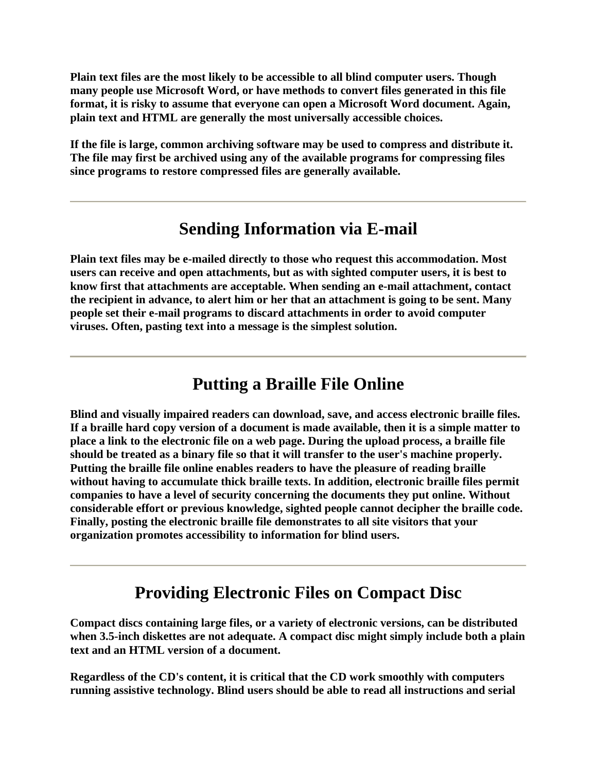**Plain text files are the most likely to be accessible to all blind computer users. Though many people use Microsoft Word, or have methods to convert files generated in this file format, it is risky to assume that everyone can open a Microsoft Word document. Again, plain text and HTML are generally the most universally accessible choices.**

**If the file is large, common archiving software may be used to compress and distribute it. The file may first be archived using any of the available programs for compressing files since programs to restore compressed files are generally available.**

#### **Sending Information via E-mail**

**Plain text files may be e-mailed directly to those who request this accommodation. Most users can receive and open attachments, but as with sighted computer users, it is best to know first that attachments are acceptable. When sending an e-mail attachment, contact the recipient in advance, to alert him or her that an attachment is going to be sent. Many people set their e-mail programs to discard attachments in order to avoid computer viruses. Often, pasting text into a message is the simplest solution.**

## **Putting a Braille File Online**

**Blind and visually impaired readers can download, save, and access electronic braille files. If a braille hard copy version of a document is made available, then it is a simple matter to place a link to the electronic file on a web page. During the upload process, a braille file should be treated as a binary file so that it will transfer to the user's machine properly. Putting the braille file online enables readers to have the pleasure of reading braille without having to accumulate thick braille texts. In addition, electronic braille files permit companies to have a level of security concerning the documents they put online. Without considerable effort or previous knowledge, sighted people cannot decipher the braille code. Finally, posting the electronic braille file demonstrates to all site visitors that your organization promotes accessibility to information for blind users.**

### **Providing Electronic Files on Compact Disc**

**Compact discs containing large files, or a variety of electronic versions, can be distributed when 3.5-inch diskettes are not adequate. A compact disc might simply include both a plain text and an HTML version of a document.**

**Regardless of the CD's content, it is critical that the CD work smoothly with computers running assistive technology. Blind users should be able to read all instructions and serial**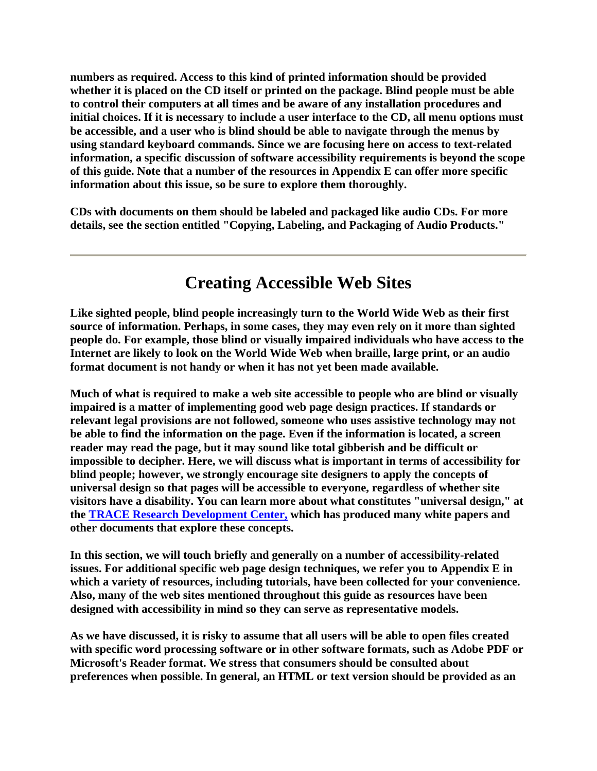**numbers as required. Access to this kind of printed information should be provided whether it is placed on the CD itself or printed on the package. Blind people must be able to control their computers at all times and be aware of any installation procedures and initial choices. If it is necessary to include a user interface to the CD, all menu options must be accessible, and a user who is blind should be able to navigate through the menus by using standard keyboard commands. Since we are focusing here on access to text-related information, a specific discussion of software accessibility requirements is beyond the scope of this guide. Note that a number of the resources in Appendix E can offer more specific information about this issue, so be sure to explore them thoroughly.**

**CDs with documents on them should be labeled and packaged like audio CDs. For more details, see the section entitled "Copying, Labeling, and Packaging of Audio Products."**

## **Creating Accessible Web Sites**

**Like sighted people, blind people increasingly turn to the World Wide Web as their first source of information. Perhaps, in some cases, they may even rely on it more than sighted people do. For example, those blind or visually impaired individuals who have access to the Internet are likely to look on the World Wide Web when braille, large print, or an audio format document is not handy or when it has not yet been made available.**

**Much of what is required to make a web site accessible to people who are blind or visually impaired is a matter of implementing good web page design practices. If standards or relevant legal provisions are not followed, someone who uses assistive technology may not be able to find the information on the page. Even if the information is located, a screen reader may read the page, but it may sound like total gibberish and be difficult or impossible to decipher. Here, we will discuss what is important in terms of accessibility for blind people; however, we strongly encourage site designers to apply the concepts of universal design so that pages will be accessible to everyone, regardless of whether site visitors have a disability. You can learn more about what constitutes "universal design," at the TRACE Research Development Center, which has produced many white papers and other documents that explore these concepts.**

**In this section, we will touch briefly and generally on a number of accessibility-related issues. For additional specific web page design techniques, we refer you to Appendix E in which a variety of resources, including tutorials, have been collected for your convenience. Also, many of the web sites mentioned throughout this guide as resources have been designed with accessibility in mind so they can serve as representative models.**

**As we have discussed, it is risky to assume that all users will be able to open files created with specific word processing software or in other software formats, such as Adobe PDF or Microsoft's Reader format. We stress that consumers should be consulted about preferences when possible. In general, an HTML or text version should be provided as an**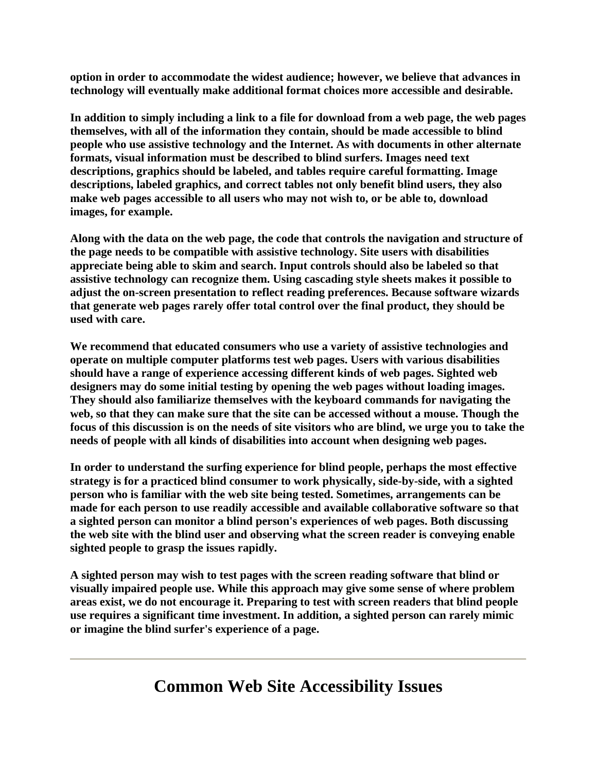**option in order to accommodate the widest audience; however, we believe that advances in technology will eventually make additional format choices more accessible and desirable.**

**In addition to simply including a link to a file for download from a web page, the web pages themselves, with all of the information they contain, should be made accessible to blind people who use assistive technology and the Internet. As with documents in other alternate formats, visual information must be described to blind surfers. Images need text descriptions, graphics should be labeled, and tables require careful formatting. Image descriptions, labeled graphics, and correct tables not only benefit blind users, they also make web pages accessible to all users who may not wish to, or be able to, download images, for example.**

**Along with the data on the web page, the code that controls the navigation and structure of the page needs to be compatible with assistive technology. Site users with disabilities appreciate being able to skim and search. Input controls should also be labeled so that assistive technology can recognize them. Using cascading style sheets makes it possible to adjust the on-screen presentation to reflect reading preferences. Because software wizards that generate web pages rarely offer total control over the final product, they should be used with care.**

**We recommend that educated consumers who use a variety of assistive technologies and operate on multiple computer platforms test web pages. Users with various disabilities should have a range of experience accessing different kinds of web pages. Sighted web designers may do some initial testing by opening the web pages without loading images. They should also familiarize themselves with the keyboard commands for navigating the web, so that they can make sure that the site can be accessed without a mouse. Though the focus of this discussion is on the needs of site visitors who are blind, we urge you to take the needs of people with all kinds of disabilities into account when designing web pages.**

**In order to understand the surfing experience for blind people, perhaps the most effective strategy is for a practiced blind consumer to work physically, side-by-side, with a sighted person who is familiar with the web site being tested. Sometimes, arrangements can be made for each person to use readily accessible and available collaborative software so that a sighted person can monitor a blind person's experiences of web pages. Both discussing the web site with the blind user and observing what the screen reader is conveying enable sighted people to grasp the issues rapidly.**

**A sighted person may wish to test pages with the screen reading software that blind or visually impaired people use. While this approach may give some sense of where problem areas exist, we do not encourage it. Preparing to test with screen readers that blind people use requires a significant time investment. In addition, a sighted person can rarely mimic or imagine the blind surfer's experience of a page.**

### **Common Web Site Accessibility Issues**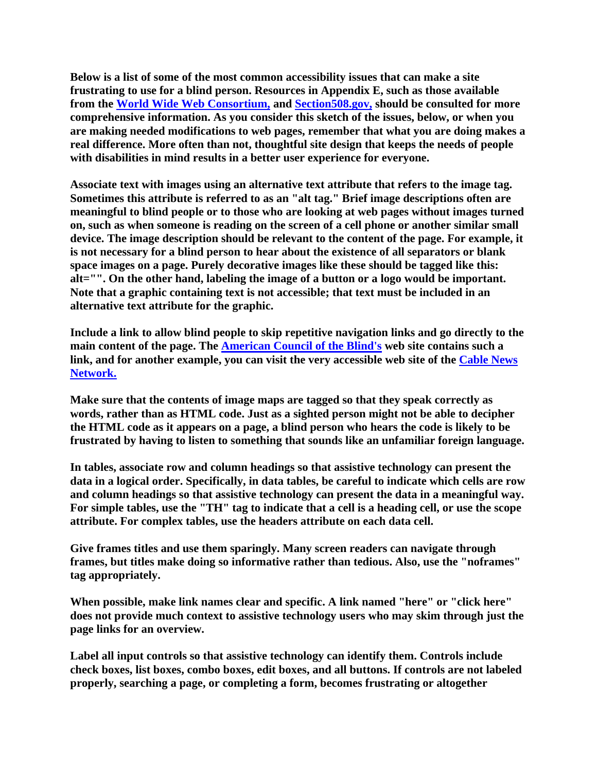**Below is a list of some of the most common accessibility issues that can make a site frustrating to use for a blind person. Resources in Appendix E, such as those available from the World Wide Web Consortium, and Section508.gov, should be consulted for more comprehensive information. As you consider this sketch of the issues, below, or when you are making needed modifications to web pages, remember that what you are doing makes a real difference. More often than not, thoughtful site design that keeps the needs of people with disabilities in mind results in a better user experience for everyone.**

**Associate text with images using an alternative text attribute that refers to the image tag. Sometimes this attribute is referred to as an "alt tag." Brief image descriptions often are meaningful to blind people or to those who are looking at web pages without images turned on, such as when someone is reading on the screen of a cell phone or another similar small device. The image description should be relevant to the content of the page. For example, it is not necessary for a blind person to hear about the existence of all separators or blank space images on a page. Purely decorative images like these should be tagged like this: alt="". On the other hand, labeling the image of a button or a logo would be important. Note that a graphic containing text is not accessible; that text must be included in an alternative text attribute for the graphic.**

**Include a link to allow blind people to skip repetitive navigation links and go directly to the main content of the page. The American Council of the Blind's web site contains such a link, and for another example, you can visit the very accessible web site of the Cable News Network.**

**Make sure that the contents of image maps are tagged so that they speak correctly as words, rather than as HTML code. Just as a sighted person might not be able to decipher the HTML code as it appears on a page, a blind person who hears the code is likely to be frustrated by having to listen to something that sounds like an unfamiliar foreign language.**

**In tables, associate row and column headings so that assistive technology can present the data in a logical order. Specifically, in data tables, be careful to indicate which cells are row and column headings so that assistive technology can present the data in a meaningful way. For simple tables, use the "TH" tag to indicate that a cell is a heading cell, or use the scope attribute. For complex tables, use the headers attribute on each data cell.**

**Give frames titles and use them sparingly. Many screen readers can navigate through frames, but titles make doing so informative rather than tedious. Also, use the "noframes" tag appropriately.**

**When possible, make link names clear and specific. A link named "here" or "click here" does not provide much context to assistive technology users who may skim through just the page links for an overview.**

**Label all input controls so that assistive technology can identify them. Controls include check boxes, list boxes, combo boxes, edit boxes, and all buttons. If controls are not labeled properly, searching a page, or completing a form, becomes frustrating or altogether**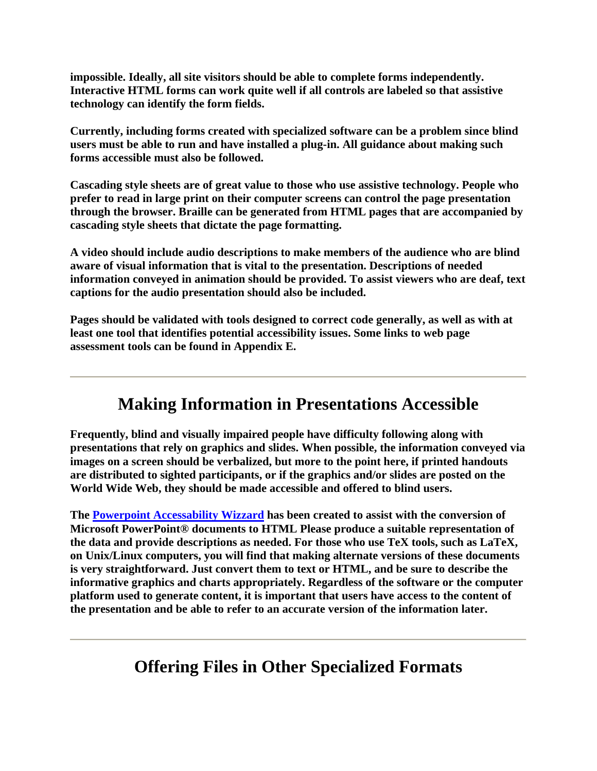**impossible. Ideally, all site visitors should be able to complete forms independently. Interactive HTML forms can work quite well if all controls are labeled so that assistive technology can identify the form fields.**

**Currently, including forms created with specialized software can be a problem since blind users must be able to run and have installed a plug-in. All guidance about making such forms accessible must also be followed.**

**Cascading style sheets are of great value to those who use assistive technology. People who prefer to read in large print on their computer screens can control the page presentation through the browser. Braille can be generated from HTML pages that are accompanied by cascading style sheets that dictate the page formatting.**

**A video should include audio descriptions to make members of the audience who are blind aware of visual information that is vital to the presentation. Descriptions of needed information conveyed in animation should be provided. To assist viewers who are deaf, text captions for the audio presentation should also be included.**

**Pages should be validated with tools designed to correct code generally, as well as with at least one tool that identifies potential accessibility issues. Some links to web page assessment tools can be found in Appendix E.**

#### **Making Information in Presentations Accessible**

**Frequently, blind and visually impaired people have difficulty following along with presentations that rely on graphics and slides. When possible, the information conveyed via images on a screen should be verbalized, but more to the point here, if printed handouts are distributed to sighted participants, or if the graphics and/or slides are posted on the World Wide Web, they should be made accessible and offered to blind users.**

**The Powerpoint Accessability Wizzard has been created to assist with the conversion of Microsoft PowerPoint® documents to HTML Please produce a suitable representation of the data and provide descriptions as needed. For those who use TeX tools, such as LaTeX, on Unix/Linux computers, you will find that making alternate versions of these documents is very straightforward. Just convert them to text or HTML, and be sure to describe the informative graphics and charts appropriately. Regardless of the software or the computer platform used to generate content, it is important that users have access to the content of the presentation and be able to refer to an accurate version of the information later.**

### **Offering Files in Other Specialized Formats**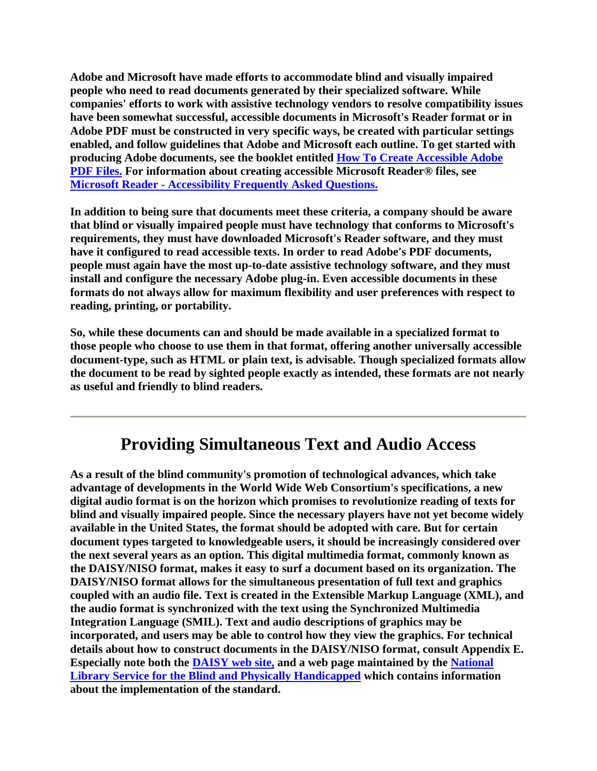**Adobe and Microsoft have made efforts to accommodate blind and visually impaired people who need to read documents generated by their specialized software. While companies' efforts to work with assistive technology vendors to resolve compatibility issues have been somewhat successful, accessible documents in Microsoft's Reader format or in Adobe PDF must be constructed in very specific ways, be created with particular settings enabled, and follow guidelines that Adobe and Microsoft each outline. To get started with producing Adobe documents, see the booklet entitled How To Create Accessible Adobe PDF Files. For information about creating accessible Microsoft Reader® files, see Microsoft Reader - Accessibility Frequently Asked Questions.**

**In addition to being sure that documents meet these criteria, a company should be aware that blind or visually impaired people must have technology that conforms to Microsoft's requirements, they must have downloaded Microsoft's Reader software, and they must have it configured to read accessible texts. In order to read Adobe's PDF documents, people must again have the most up-to-date assistive technology software, and they must install and configure the necessary Adobe plug-in. Even accessible documents in these formats do not always allow for maximum flexibility and user preferences with respect to reading, printing, or portability.**

**So, while these documents can and should be made available in a specialized format to those people who choose to use them in that format, offering another universally accessible document-type, such as HTML or plain text, is advisable. Though specialized formats allow the document to be read by sighted people exactly as intended, these formats are not nearly as useful and friendly to blind readers.**

#### **Providing Simultaneous Text and Audio Access**

**As a result of the blind community's promotion of technological advances, which take advantage of developments in the World Wide Web Consortium's specifications, a new digital audio format is on the horizon which promises to revolutionize reading of texts for blind and visually impaired people. Since the necessary players have not yet become widely available in the United States, the format should be adopted with care. But for certain document types targeted to knowledgeable users, it should be increasingly considered over the next several years as an option. This digital multimedia format, commonly known as the DAISY/NISO format, makes it easy to surf a document based on its organization. The DAISY/NISO format allows for the simultaneous presentation of full text and graphics coupled with an audio file. Text is created in the Extensible Markup Language (XML), and the audio format is synchronized with the text using the Synchronized Multimedia Integration Language (SMIL). Text and audio descriptions of graphics may be incorporated, and users may be able to control how they view the graphics. For technical details about how to construct documents in the DAISY/NISO format, consult Appendix E. Especially note both the DAISY web site, and a web page maintained by the National Library Service for the Blind and Physically Handicapped which contains information about the implementation of the standard.**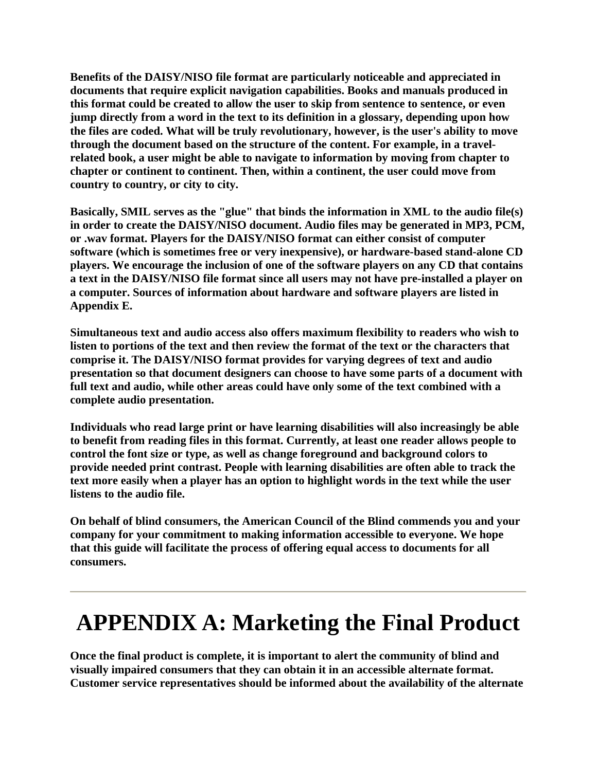**Benefits of the DAISY/NISO file format are particularly noticeable and appreciated in documents that require explicit navigation capabilities. Books and manuals produced in this format could be created to allow the user to skip from sentence to sentence, or even jump directly from a word in the text to its definition in a glossary, depending upon how the files are coded. What will be truly revolutionary, however, is the user's ability to move through the document based on the structure of the content. For example, in a travelrelated book, a user might be able to navigate to information by moving from chapter to chapter or continent to continent. Then, within a continent, the user could move from country to country, or city to city.**

**Basically, SMIL serves as the "glue" that binds the information in XML to the audio file(s) in order to create the DAISY/NISO document. Audio files may be generated in MP3, PCM, or .wav format. Players for the DAISY/NISO format can either consist of computer software (which is sometimes free or very inexpensive), or hardware-based stand-alone CD players. We encourage the inclusion of one of the software players on any CD that contains a text in the DAISY/NISO file format since all users may not have pre-installed a player on a computer. Sources of information about hardware and software players are listed in Appendix E.**

**Simultaneous text and audio access also offers maximum flexibility to readers who wish to listen to portions of the text and then review the format of the text or the characters that comprise it. The DAISY/NISO format provides for varying degrees of text and audio presentation so that document designers can choose to have some parts of a document with full text and audio, while other areas could have only some of the text combined with a complete audio presentation.**

**Individuals who read large print or have learning disabilities will also increasingly be able to benefit from reading files in this format. Currently, at least one reader allows people to control the font size or type, as well as change foreground and background colors to provide needed print contrast. People with learning disabilities are often able to track the text more easily when a player has an option to highlight words in the text while the user listens to the audio file.**

**On behalf of blind consumers, the American Council of the Blind commends you and your company for your commitment to making information accessible to everyone. We hope that this guide will facilitate the process of offering equal access to documents for all consumers.**

# **APPENDIX A: Marketing the Final Product**

**Once the final product is complete, it is important to alert the community of blind and visually impaired consumers that they can obtain it in an accessible alternate format. Customer service representatives should be informed about the availability of the alternate**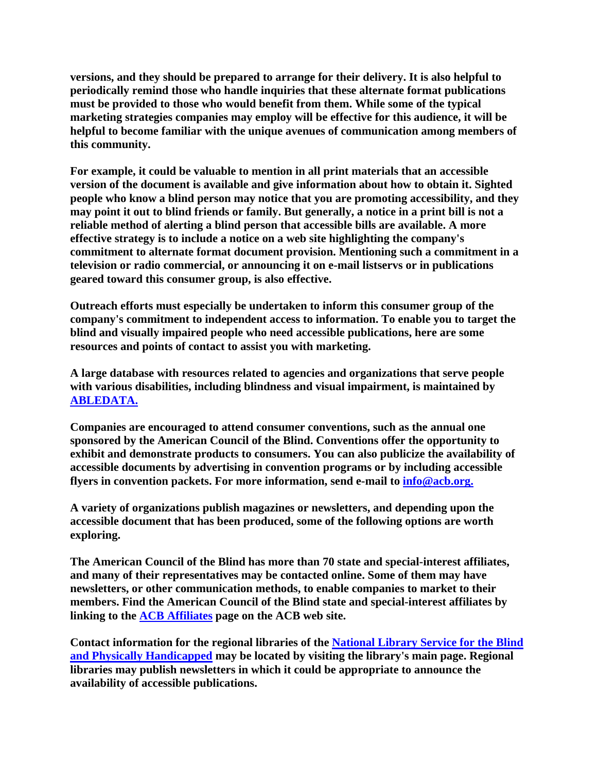**versions, and they should be prepared to arrange for their delivery. It is also helpful to periodically remind those who handle inquiries that these alternate format publications must be provided to those who would benefit from them. While some of the typical marketing strategies companies may employ will be effective for this audience, it will be helpful to become familiar with the unique avenues of communication among members of this community.**

**For example, it could be valuable to mention in all print materials that an accessible version of the document is available and give information about how to obtain it. Sighted people who know a blind person may notice that you are promoting accessibility, and they may point it out to blind friends or family. But generally, a notice in a print bill is not a reliable method of alerting a blind person that accessible bills are available. A more effective strategy is to include a notice on a web site highlighting the company's commitment to alternate format document provision. Mentioning such a commitment in a television or radio commercial, or announcing it on e-mail listservs or in publications geared toward this consumer group, is also effective.**

**Outreach efforts must especially be undertaken to inform this consumer group of the company's commitment to independent access to information. To enable you to target the blind and visually impaired people who need accessible publications, here are some resources and points of contact to assist you with marketing.**

**A large database with resources related to agencies and organizations that serve people with various disabilities, including blindness and visual impairment, is maintained by ABLEDATA.**

**Companies are encouraged to attend consumer conventions, such as the annual one sponsored by the American Council of the Blind. Conventions offer the opportunity to exhibit and demonstrate products to consumers. You can also publicize the availability of accessible documents by advertising in convention programs or by including accessible flyers in convention packets. For more information, send e-mail to info@acb.org.**

**A variety of organizations publish magazines or newsletters, and depending upon the accessible document that has been produced, some of the following options are worth exploring.**

**The American Council of the Blind has more than 70 state and special-interest affiliates, and many of their representatives may be contacted online. Some of them may have newsletters, or other communication methods, to enable companies to market to their members. Find the American Council of the Blind state and special-interest affiliates by linking to the ACB Affiliates page on the ACB web site.**

**Contact information for the regional libraries of the National Library Service for the Blind and Physically Handicapped may be located by visiting the library's main page. Regional libraries may publish newsletters in which it could be appropriate to announce the availability of accessible publications.**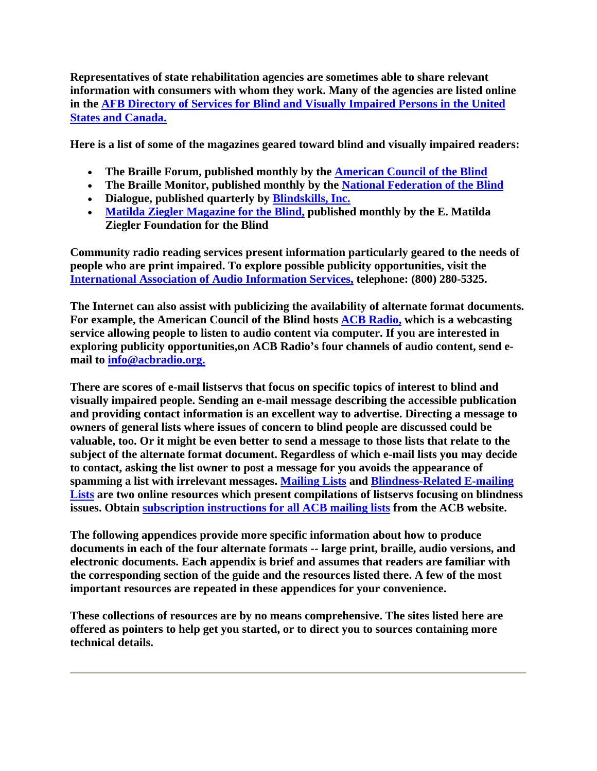**Representatives of state rehabilitation agencies are sometimes able to share relevant information with consumers with whom they work. Many of the agencies are listed online in the AFB Directory of Services for Blind and Visually Impaired Persons in the United States and Canada.**

**Here is a list of some of the magazines geared toward blind and visually impaired readers:** 

- **The Braille Forum, published monthly by the American Council of the Blind**
- **The Braille Monitor, published monthly by the National Federation of the Blind**
- **Dialogue, published quarterly by Blindskills, Inc.**
- **Matilda Ziegler Magazine for the Blind, published monthly by the E. Matilda Ziegler Foundation for the Blind**

**Community radio reading services present information particularly geared to the needs of people who are print impaired. To explore possible publicity opportunities, visit the International Association of Audio Information Services, telephone: (800) 280-5325.**

**The Internet can also assist with publicizing the availability of alternate format documents. For example, the American Council of the Blind hosts ACB Radio, which is a webcasting service allowing people to listen to audio content via computer. If you are interested in exploring publicity opportunities,on ACB Radio's four channels of audio content, send email to info@acbradio.org.**

**There are scores of e-mail listservs that focus on specific topics of interest to blind and visually impaired people. Sending an e-mail message describing the accessible publication and providing contact information is an excellent way to advertise. Directing a message to owners of general lists where issues of concern to blind people are discussed could be valuable, too. Or it might be even better to send a message to those lists that relate to the subject of the alternate format document. Regardless of which e-mail lists you may decide to contact, asking the list owner to post a message for you avoids the appearance of spamming a list with irrelevant messages. Mailing Lists and Blindness-Related E-mailing Lists are two online resources which present compilations of listservs focusing on blindness issues. Obtain subscription instructions for all ACB mailing lists from the ACB website.**

**The following appendices provide more specific information about how to produce documents in each of the four alternate formats -- large print, braille, audio versions, and electronic documents. Each appendix is brief and assumes that readers are familiar with the corresponding section of the guide and the resources listed there. A few of the most important resources are repeated in these appendices for your convenience.**

**These collections of resources are by no means comprehensive. The sites listed here are offered as pointers to help get you started, or to direct you to sources containing more technical details.**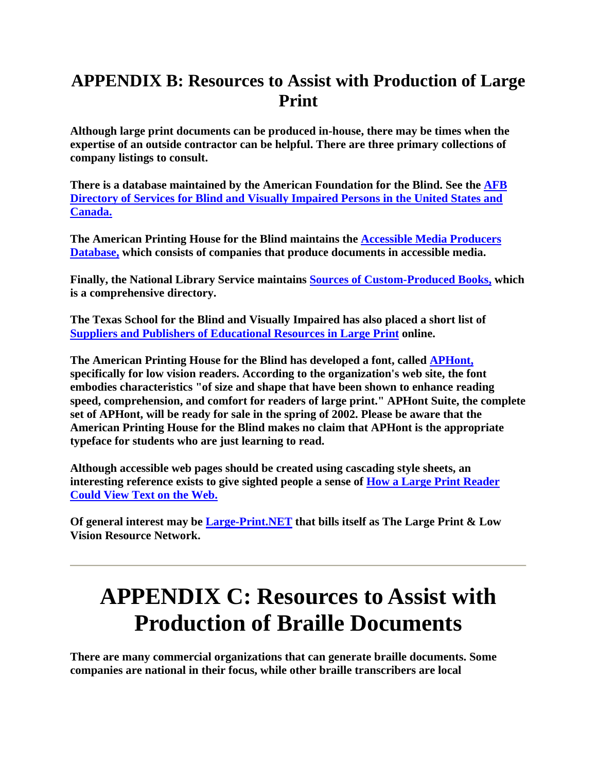## **APPENDIX B: Resources to Assist with Production of Large Print**

**Although large print documents can be produced in-house, there may be times when the expertise of an outside contractor can be helpful. There are three primary collections of company listings to consult.**

**There is a database maintained by the American Foundation for the Blind. See the AFB Directory of Services for Blind and Visually Impaired Persons in the United States and Canada.**

**The American Printing House for the Blind maintains the Accessible Media Producers Database, which consists of companies that produce documents in accessible media.**

**Finally, the National Library Service maintains Sources of Custom-Produced Books, which is a comprehensive directory.**

**The Texas School for the Blind and Visually Impaired has also placed a short list of Suppliers and Publishers of Educational Resources in Large Print online.**

**The American Printing House for the Blind has developed a font, called APHont, specifically for low vision readers. According to the organization's web site, the font embodies characteristics "of size and shape that have been shown to enhance reading speed, comprehension, and comfort for readers of large print." APHont Suite, the complete set of APHont, will be ready for sale in the spring of 2002. Please be aware that the American Printing House for the Blind makes no claim that APHont is the appropriate typeface for students who are just learning to read.**

**Although accessible web pages should be created using cascading style sheets, an interesting reference exists to give sighted people a sense of How a Large Print Reader Could View Text on the Web.**

**Of general interest may be Large-Print.NET that bills itself as The Large Print & Low Vision Resource Network.**

## **APPENDIX C: Resources to Assist with Production of Braille Documents**

**There are many commercial organizations that can generate braille documents. Some companies are national in their focus, while other braille transcribers are local**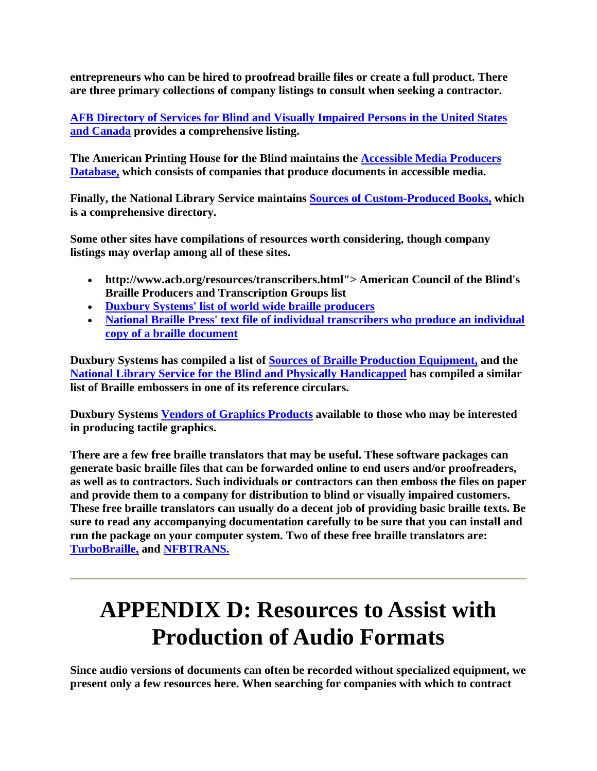**entrepreneurs who can be hired to proofread braille files or create a full product. There are three primary collections of company listings to consult when seeking a contractor.**

**AFB Directory of Services for Blind and Visually Impaired Persons in the United States and Canada provides a comprehensive listing.**

**The American Printing House for the Blind maintains the Accessible Media Producers Database, which consists of companies that produce documents in accessible media.**

**Finally, the National Library Service maintains Sources of Custom-Produced Books, which is a comprehensive directory.**

**Some other sites have compilations of resources worth considering, though company listings may overlap among all of these sites.**

- **http://www.acb.org/resources/transcribers.html"> American Council of the Blind's Braille Producers and Transcription Groups list**
- **Duxbury Systems' list of world wide braille producers**
- **National Braille Press' text file of individual transcribers who produce an individual copy of a braille document**

**Duxbury Systems has compiled a list of Sources of Braille Production Equipment, and the National Library Service for the Blind and Physically Handicapped has compiled a similar list of Braille embossers in one of its reference circulars.**

**Duxbury Systems Vendors of Graphics Products available to those who may be interested in producing tactile graphics.**

**There are a few free braille translators that may be useful. These software packages can generate basic braille files that can be forwarded online to end users and/or proofreaders, as well as to contractors. Such individuals or contractors can then emboss the files on paper and provide them to a company for distribution to blind or visually impaired customers. These free braille translators can usually do a decent job of providing basic braille texts. Be sure to read any accompanying documentation carefully to be sure that you can install and run the package on your computer system. Two of these free braille translators are: TurboBraille, and NFBTRANS.**

## **APPENDIX D: Resources to Assist with Production of Audio Formats**

**Since audio versions of documents can often be recorded without specialized equipment, we present only a few resources here. When searching for companies with which to contract**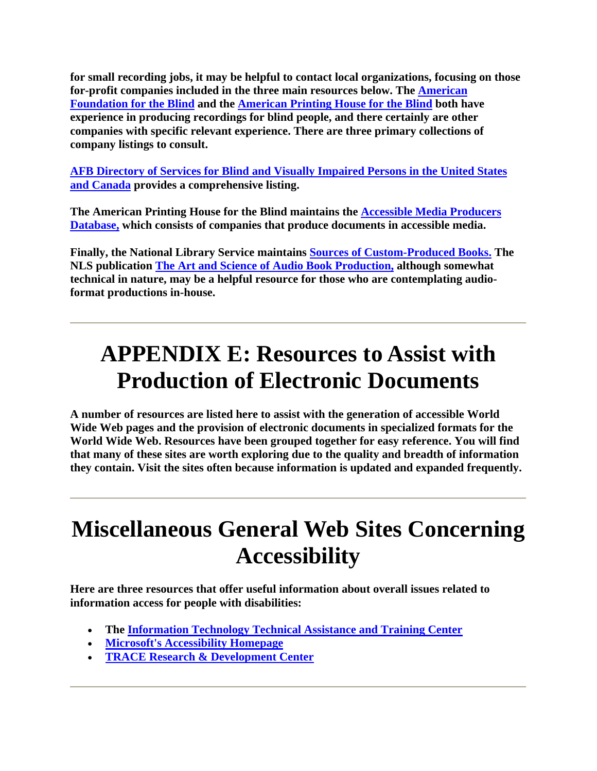**for small recording jobs, it may be helpful to contact local organizations, focusing on those for-profit companies included in the three main resources below. The American Foundation for the Blind and the American Printing House for the Blind both have experience in producing recordings for blind people, and there certainly are other companies with specific relevant experience. There are three primary collections of company listings to consult.**

**AFB Directory of Services for Blind and Visually Impaired Persons in the United States and Canada provides a comprehensive listing.**

**The American Printing House for the Blind maintains the Accessible Media Producers Database, which consists of companies that produce documents in accessible media.**

**Finally, the National Library Service maintains Sources of Custom-Produced Books. The NLS publication The Art and Science of Audio Book Production, although somewhat technical in nature, may be a helpful resource for those who are contemplating audioformat productions in-house.**

## **APPENDIX E: Resources to Assist with Production of Electronic Documents**

**A number of resources are listed here to assist with the generation of accessible World Wide Web pages and the provision of electronic documents in specialized formats for the World Wide Web. Resources have been grouped together for easy reference. You will find that many of these sites are worth exploring due to the quality and breadth of information they contain. Visit the sites often because information is updated and expanded frequently.**

## **Miscellaneous General Web Sites Concerning Accessibility**

**Here are three resources that offer useful information about overall issues related to information access for people with disabilities:**

- **The Information Technology Technical Assistance and Training Center**
- **Microsoft's Accessibility Homepage**
- **TRACE Research & Development Center**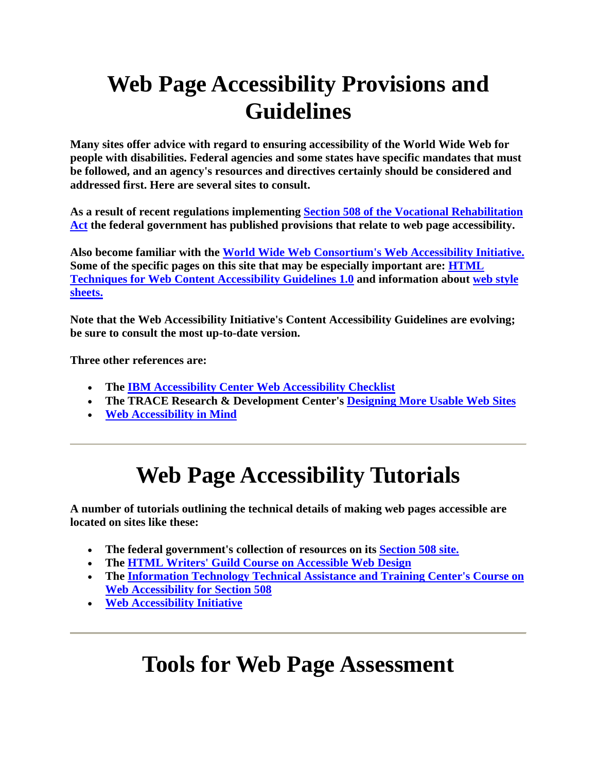# **Web Page Accessibility Provisions and Guidelines**

**Many sites offer advice with regard to ensuring accessibility of the World Wide Web for people with disabilities. Federal agencies and some states have specific mandates that must be followed, and an agency's resources and directives certainly should be considered and addressed first. Here are several sites to consult.**

**As a result of recent regulations implementing Section 508 of the Vocational Rehabilitation Act the federal government has published provisions that relate to web page accessibility.**

**Also become familiar with the World Wide Web Consortium's Web Accessibility Initiative. Some of the specific pages on this site that may be especially important are: HTML Techniques for Web Content Accessibility Guidelines 1.0 and information about web style sheets.**

**Note that the Web Accessibility Initiative's Content Accessibility Guidelines are evolving; be sure to consult the most up-to-date version.**

**Three other references are:** 

- **The IBM Accessibility Center Web Accessibility Checklist**
- **The TRACE Research & Development Center's Designing More Usable Web Sites**
- **Web Accessibility in Mind**

## **Web Page Accessibility Tutorials**

**A number of tutorials outlining the technical details of making web pages accessible are located on sites like these:**

- **The federal government's collection of resources on its Section 508 site.**
- **The HTML Writers' Guild Course on Accessible Web Design**
- **The Information Technology Technical Assistance and Training Center's Course on Web Accessibility for Section 508**
- **Web Accessibility Initiative**

## **Tools for Web Page Assessment**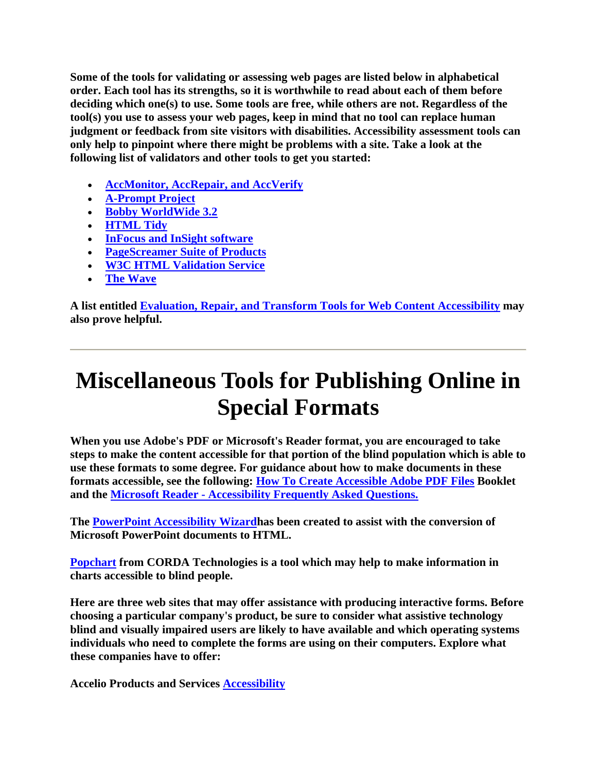**Some of the tools for validating or assessing web pages are listed below in alphabetical order. Each tool has its strengths, so it is worthwhile to read about each of them before deciding which one(s) to use. Some tools are free, while others are not. Regardless of the tool(s) you use to assess your web pages, keep in mind that no tool can replace human judgment or feedback from site visitors with disabilities. Accessibility assessment tools can only help to pinpoint where there might be problems with a site. Take a look at the following list of validators and other tools to get you started:**

- **AccMonitor, AccRepair, and AccVerify**
- **A-Prompt Project**
- **Bobby WorldWide 3.2**
- **HTML Tidy**
- **InFocus and InSight software**
- **PageScreamer Suite of Products**
- **W3C HTML Validation Service**
- **The Wave**

**A list entitled Evaluation, Repair, and Transform Tools for Web Content Accessibility may also prove helpful.**

## **Miscellaneous Tools for Publishing Online in Special Formats**

**When you use Adobe's PDF or Microsoft's Reader format, you are encouraged to take steps to make the content accessible for that portion of the blind population which is able to use these formats to some degree. For guidance about how to make documents in these formats accessible, see the following: How To Create Accessible Adobe PDF Files Booklet and the Microsoft Reader - Accessibility Frequently Asked Questions.**

**The PowerPoint Accessibility Wizardhas been created to assist with the conversion of Microsoft PowerPoint documents to HTML.** 

**Popchart from CORDA Technologies is a tool which may help to make information in charts accessible to blind people.**

**Here are three web sites that may offer assistance with producing interactive forms. Before choosing a particular company's product, be sure to consider what assistive technology blind and visually impaired users are likely to have available and which operating systems individuals who need to complete the forms are using on their computers. Explore what these companies have to offer:**

**Accelio Products and Services Accessibility**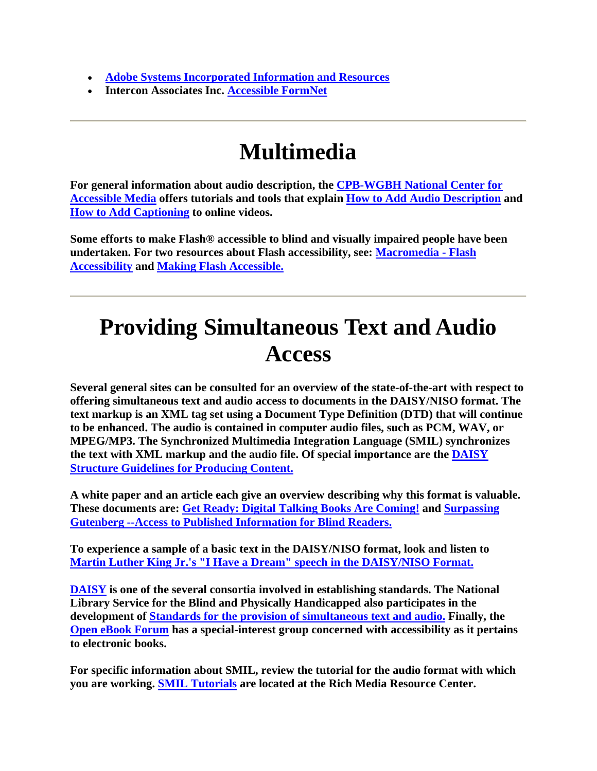- **Adobe Systems Incorporated Information and Resources**
- **Intercon Associates Inc. Accessible FormNet**

## **Multimedia**

**For general information about audio description, the CPB-WGBH National Center for Accessible Media offers tutorials and tools that explain How to Add Audio Description and How to Add Captioning to online videos.**

**Some efforts to make Flash® accessible to blind and visually impaired people have been undertaken. For two resources about Flash accessibility, see: Macromedia - Flash Accessibility and Making Flash Accessible.**

## **Providing Simultaneous Text and Audio Access**

**Several general sites can be consulted for an overview of the state-of-the-art with respect to offering simultaneous text and audio access to documents in the DAISY/NISO format. The text markup is an XML tag set using a Document Type Definition (DTD) that will continue to be enhanced. The audio is contained in computer audio files, such as PCM, WAV, or MPEG/MP3. The Synchronized Multimedia Integration Language (SMIL) synchronizes the text with XML markup and the audio file. Of special importance are the DAISY Structure Guidelines for Producing Content.**

**A white paper and an article each give an overview describing why this format is valuable. These documents are: Get Ready: Digital Talking Books Are Coming! and Surpassing Gutenberg --Access to Published Information for Blind Readers.**

**To experience a sample of a basic text in the DAISY/NISO format, look and listen to Martin Luther King Jr.'s "I Have a Dream" speech in the DAISY/NISO Format.**

**DAISY is one of the several consortia involved in establishing standards. The National Library Service for the Blind and Physically Handicapped also participates in the development of Standards for the provision of simultaneous text and audio. Finally, the Open eBook Forum has a special-interest group concerned with accessibility as it pertains to electronic books.**

**For specific information about SMIL, review the tutorial for the audio format with which you are working. SMIL Tutorials are located at the Rich Media Resource Center.**